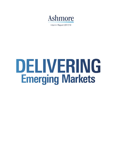

Interim Report 2017/18

# DELIVERING **Emerging Markets**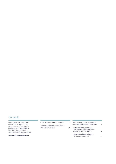# **Contents**

For a downloadable version of the interim report, other announcements and details of up-coming events, please visit the investor relations section of the Group's website

**www.ashmoregroup.com** 

Chief Executive Officer's report Interim condensed consolidated financial statements

2 10 Notes to the interim condensed consolidated financial statements Responsibility statement of the Directors in respect of the half-yearly financial report Independent Review Report to Ashmore Group plc 15 26 27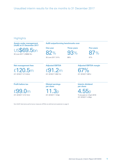# **Highlights**

**Assets under management (AuM) at 31 December 2017** 

US\$69.5bn 30 June 2017: US\$58.7bn

**AuM outperforming benchmarks over** 

**One year Three years Five years** 

82% 93% 87%

30 June 2017: 91% 86% 86% 87%

**Adjusted EBITDA margin** 

**Net management fees**  £120.5m (H1 2016/17: £114.9m)

#### **Profit before tax**

£99 (H1 2016/17: £121.5m) **Diluted earnings per share** 

**Adjusted EBITDA** 

£91.2m (H1 2016/17: £89.7m)

11.3p (H1 2016/17: 13.9p)

**Interim dividend per share** 

67% (H1 2016/17: 66%)

4.55p To be paid on 4 April 2018 (H1 2016/17: 4.55p)

Non-GAAP alternative performance measures (APMs) are defined and explained on page 9.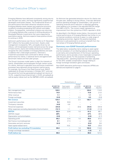# Chief Executive Officer's report

Emerging Markets have delivered consistently strong returns over the past two years, and have significantly outperformed developed world asset classes. The fundamental drivers of this performance have been attractive valuations across Emerging Markets asset classes and supportive economic conditions including accelerating GDP growth and stable inflation. Consequently, institutional investors are returning to Emerging Markets after a period of shifting allocations to Developed Markets investments that were supported by quantitative easing. Ashmore expects these positive drivers to continue in 2018.

Ashmore's performance over the six months to 31 December 2017 reflects this favourable environment. Assets under management increased by 18%, principally driven by net inflows, with broad-based investor demand across the range of fixed income, equity and overlay products as investors recognise the value available in Emerging Markets and seek to address their underweight positions. Ashmore's investment processes have continued to deliver strong performance for clients, in absolute terms and against both benchmark indices and their peer groups.

The Group's business model seeks to align the interests of clients, shareholders and employees through market cycles. For clients, Ashmore's specialist focus and active investment processes have delivered strong long-term performance. For example, the Group's first fixed income fund, EMLIP, celebrated its 25-year anniversary in October 2017, and over this period the fund has generated annualised net returns of 14.4%, outperforming its benchmark (+10.6% annualised) as well as equity indices such as the S&P500 (+9.8% annualised).

As Ashmore has generated attractive returns for clients over the past year, leading to strong inflows, it has also delivered positive operating leverage for shareholders, with growth in operating revenues and a reduction in adjusted operating costs leading to an increase in the adjusted EBITDA margin from 66% to 67%. The current margin represents an improvement from the cyclical low of 62% reported in 2016.

As described in the Market review below, the economic and market performance of Emerging Markets has further to run, as financial conditions continue to ease in a wide range of developing economies. Against this positive backdrop, Ashmore is well positioned to continue to benefit from the next phase of Emerging Markets growth.

#### **Summary non-GAAP financial performance**

The table below reclassifies items relating to seed capital and the translation of non-Sterling balance sheet positions to aid clarity and comprehension of the Group's operating performance, and to provide a more meaningful comparison with the prior period. For the purposes of presenting 'Adjusted profits', operating expenses have been adjusted for the 20% variable compensation charge relating to foreign exchange translation gains and losses.

Non-GAAP alternative performance measures (APMs) are defined and explained on page 9.

|                                                      |                                | Reclassification of            |                                    |                               |                        |
|------------------------------------------------------|--------------------------------|--------------------------------|------------------------------------|-------------------------------|------------------------|
| £m                                                   | H1 2017/18<br><b>Statutory</b> | Seed capital-<br>related items | Foreign<br>exchange<br>translation | H1 2017/18<br><b>Adjusted</b> | H1 2016/17<br>Adjusted |
| Net management fees                                  | 120.5                          |                                | -                                  | 120.5                         | 114.9                  |
| Performance fees                                     | 14.8                           |                                |                                    | 14.8                          | 21.6                   |
| Other revenue                                        | 1.1                            |                                |                                    | 1.1                           | 2.2                    |
| Foreign exchange                                     | (2.0)                          |                                | 2.3                                | 0.3                           | (3.0)                  |
| <b>Net revenue</b>                                   | 134.4                          |                                | 2.3                                | 136.7                         | 135.7                  |
| Investment securities                                | 9.4                            | (9.4)                          |                                    |                               |                        |
| Third-party interests                                | (4.9)                          | 4.9                            |                                    |                               |                        |
| Personnel expenses                                   | (34.0)                         |                                | (0.5)                              | (34.5)                        | (34.5)                 |
| Other expenses excluding depreciation & amortisation | (12.1)                         | 1.1                            |                                    | (11.0)                        | (11.5)                 |
| <b>EBITDA</b>                                        | 92.8                           | (3.4)                          | 1.8                                | 91.2                          | 89.7                   |
| EBITDA margin                                        | 69%                            |                                |                                    | 67%                           | 66%                    |
| Depreciation and amortisation                        | (2.6)                          |                                | -                                  | (2.6)                         | (2.7)                  |
| Operating profit                                     | 90.2                           | (3.4)                          | 1.8                                | 88.6                          | 87.0                   |
| Net finance income/(expense)                         | 9.1                            | (7.1)                          |                                    | 2.0                           | 1.2                    |
| Associates and joint ventures                        | (0.3)                          |                                |                                    | (0.3)                         | 0.8                    |
| Seed capital-related items                           |                                | 10.5                           | $\overline{\phantom{0}}$           | 10.5                          | 25.8                   |
| <b>Profit before tax excluding FX translation</b>    | 99.0                           | -                              | 1.8                                | 100.8                         | 114.8                  |
| Foreign exchange translation                         |                                |                                | (1.8)                              | (1.8)                         | 6.7                    |
| <b>Profit before tax</b>                             | 99.0                           |                                |                                    | 99.0                          | 121.5                  |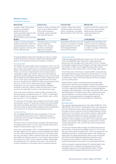#### **Market review**

#### Investment themes

| <b>External debt</b>                                                                                                                                                                             | <b>Local currency</b>                                                                                                                                       | Corporate debt                                                                                                                                                                                                     | <b>Blended debt</b>                                                                                                               |
|--------------------------------------------------------------------------------------------------------------------------------------------------------------------------------------------------|-------------------------------------------------------------------------------------------------------------------------------------------------------------|--------------------------------------------------------------------------------------------------------------------------------------------------------------------------------------------------------------------|-----------------------------------------------------------------------------------------------------------------------------------|
| Invests in debt instruments<br>issued by sovereigns<br>(governments) and<br>quasi-sovereigns (government- sovereign, quasi-sovereign<br>sponsored), principally<br>denominated in G3 currencies. | Invests in local currencies and<br>local currency-denominated<br>instruments issued by<br>and corporate issuers.                                            | Invests in debt instruments<br>issued by public and private<br>sector companies, principally<br>denominated in G3 currencies.                                                                                      | Invests in both G3 currency and<br>local currency-denominated<br>assets across sovereigns,<br>quasi-sovereigns and<br>corporates. |
| <b>Equities</b>                                                                                                                                                                                  | <b>Alternatives</b>                                                                                                                                         | Multi-asset                                                                                                                                                                                                        | Overlay/liquidity                                                                                                                 |
| Invests in equity and equity-<br>related instruments within the<br>Emerging Markets including<br>global, regional, small cap and<br>frontier opportunities.                                      | Provides access to private<br>equity, healthcare,<br>infrastructure, special<br>situations, distressed<br>debt and real estate<br>investment opportunities. | Specialised, efficient, all-in-one Separates and centralises the<br>access to a long-term strategic currency risk of an underlying<br>asset allocation across the<br>full Emerging Markets<br>investment universe. | <b>Emerging Markets asset class</b><br>in order to manage it effectively<br>and efficiently.                                      |

Emerging Markets performed strongly over the six months, reflecting attractive valuations, high and accelerating GDP growth, and supportive fiscal and monetary conditions.

#### External debt

The EMBI GD external debt index increased by 3.8% over the six months, and its spread over US Treasuries compressed by 25bps. High yield bonds outperformed investment grade. There is a common misperception that this asset class is vulnerable to higher US interest rates, yet it has delivered significant positive absolute and relative returns since the first rate increase by the Federal Reserve (Fed) in December 2015. So far in this cycle, the Fed has increased rates five times, and over that period the EMBI GD index has produced a total return of +22% with its spread reducing by 139bps. Importantly, only one country (Mozambique) defaulted, resulting in less than 10bps of index loss and with no readacross to the other 66 countries in the benchmark index.

Over three years, Ashmore's external debt composite has delivered gross annualised returns of +10.9%, a meaningful level of outperformance against its benchmark index, which has returned +7.1% annualised.

The diversity of the asset class coupled with attractive yields and spreads versus US Treasuries implies that external debt will continue to deliver good returns for the foreseeable future. Given the range of opportunities available, active management will continue to be critical to achieving these returns.

#### Local currency

The unhedged GBI-EM GD index increased by 4.4% over the period with good returns from rates and a positive contribution from stronger Emerging Markets currencies against the US dollar.

Ashmore's local currency bonds composite has delivered an annualised gross return of +4.2% over the past three years, ahead of its benchmark index (+2.5%).

From their cyclical peak in 2011, Emerging Market currencies fell 40% against the US dollar and have subsequently rallied only 5%, demonstrating that the recovery in this asset class has only just begun. When combined with high nominal and real yields, the ongoing recovery in currencies means there is the potential for local currency assets to deliver double-digit annualised returns for several more years. The outlook for investor allocations to this asset class is therefore positive.

#### Corporate debt

Corporate debt generated good returns over the six months with the CEMBI BD index rising 2.8%. High yield credit performed more strongly with a total return of 4.2%, thereby comfortably outperforming JP Morgan's US high yield corporate bond index (+2.9%), and it ended the period with a lower default rate of 2.0% versus 3.6% in the US high yield market.

Over three years, the Group's corporate debt composite has generated positive gross investment performance of +10.0% annualised. This is significantly ahead of the performance of its benchmark index, which has returned +6.2% annualised over the same period.

Several factors support continued strong corporate debt performance: the economic backdrop remains favourable; increases in US rates appear priced in; and there is the potential for further significant spread tightening in Emerging Markets corporate credit, particularly in the high yield market. With more than 600 issuers in the benchmark index, credit analysis and security selection is critical to deliver outperformance, and Ashmore's value-based active management approach underpins the delivery of a strong long-term investment track record.

#### Blended debt

The standard blended debt benchmark (50% EMBI GD, 25% GBI-EM GD, 25% ELMI+) increased by 4.0% over the period, with all constituent asset classes delivering positive returns. Stronger economic growth across Emerging Markets will be positive for local markets, but will also improve credit quality with positive implications for bonds. Consistent with the Group's positive outlook for Emerging Markets and the significant value available across each of the underlying asset classes, the blended debt strategy is positioned for further market appreciation, and currently has a bias towards local currency assets.

The Group's blended debt strategy has delivered attractive performance, with gross annualised returns of +9.1% over the past three years compared with +4.8% annualised for the standard benchmark. As described above, each underlying asset class has generated positive returns over the period, and Ashmore has delivered significant outperformance through its proven ability to identify relative value and dynamically allocate across each of its specialised themes.

Ashmore expects ongoing demand for blended debt funds, particularly from investors wanting broad but actively managed exposure to Emerging Markets debt, or those wishing to define bespoke performance benchmarks.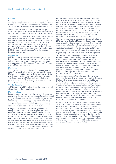#### **Equities**

Emerging Markets equities performed strongly over the six months as economic growth accelerated. The MSCI EM index increased 15.9%, the MSCI Frontier Markets index rose by 14.1% and the MSCI EM small cap index increased by 15.4%.

Ashmore has delivered between 200bps and 300bps of annualised outperformance versus benchmarks over three years for the small cap and frontier markets composites, respectively.

The strong performance across emerging equity markets has been underpinned by a recovery in corporate earnings, meaning valuations remain at attractive levels. For instance, the MSCI EM index currently trades on 12.5x prospective earnings, in line with its long-run average and largely unchanged from its level a year ago despite the 38% price rally in 2017. The market expects double-digit earnings growth in 2018, providing a solid backdrop for further positive investment performance.

#### **Alternatives**

AuM in the theme increased slightly through capital raised into thematic funds such as education and infrastructure. Ashmore continues to explore opportunities to grow the alternatives theme, with a particular focus on Latin America and the Middle East and Asia.

#### Multi-asset

The multi-asset investment theme offers clients exposure to the full range of Ashmore's actively managed Emerging Markets investment themes, thereby increasing diversification and offering potentially higher returns through the cycle. The Group's Emerging Markets multi-asset strategy is performing well, with all funds significantly outperforming their respective benchmarks over three years.

#### Overlay/liquidity

AuM increased by US\$1.5 billion during the period as a result of net inflows to the overlay theme.

#### Market outlook

Emerging Markets assets have delivered attractive absolute returns over the past two years, and outperformed developed world assets by a wide margin. Importantly, this performance has been justified by improving economic conditions and most investors have only just begun to recognise the value available across a very broad range of Emerging Markets asset classes, countries, currencies and issuers.

GDP growth is accelerating across a large number of Emerging Markets countries, following the significant macro-economic adjustments undertaken between 2011 and 2015. So far, this has principally reflected the effect of cheap currencies on export volumes. Ashmore expects the next phase of economic expansion to be driven by domestic demand, as capital flows into financially-constrained nations lead to easier financial conditions, stimulating investment and production, and consequently raising wages and consumption. This will support growth as domestic demand represents on average more than 70% of emerging nations' GDP.

One consequence of faster economic growth is that inflation is likely to pick up across Emerging Markets, from a low level of around 4%. It is therefore probable that Emerging Markets central banks will tighten monetary policy and eventually lead the global rates cycle, leaving the main Developed Markets central banks to contend with low growth, low inflation, high indebtedness and a lack of reforms. This has important positive implications for Emerging Markets currencies, and therefore will be supportive for further capital flows and an extension of the economic and business cycles.

There are several important elections in Emerging Markets in 2018, such as in Brazil and Mexico, and these typically provide opportunities for active managers to generate alpha as markets misprice assets based on unlikely implied outcomes. Another important political factor is the pursuit of reforms, as these can underpin or enhance GDP growth expectations. This is most obviously the case in China, but also relevant to other large developing nations such as India, Brazil and Argentina.

This positive outlook for Emerging Markets is set against a background of continued challenges facing Developed Markets. In the developed world, economic growth is relatively slow, high leverage constrains central banks' ability to raise interest rates, there is little occurring by way of reform, and valuations appear stretched in both equity and fixed income markets. The opportunity cost of being overweight Developed Markets and underweight Emerging Markets is high and rising as the latter enter a third consecutive year of outperformance.

Beyond the country-specific and isolated risks that occur every year, the main risks to the positive outlook for Emerging Markets relate to growth scenarios for the United States. While a low probability, there is a chance that productivity growth forces the Fed to raise rates significantly faster than currently expected by the market, thereby strengthening the US dollar. This would undermine the arguments in favour of flows into local currency markets. Conversely, a weaker growth scenario, potentially including a recession, would have mixed implications for Emerging Markets: it would be negative for certain Emerging Markets equities, but with the probability of lower rates and a weaker US dollar, local currency bonds would stand to benefit.

However, the resilience shown by Emerging Markets in the 2011 to 2015 period in the face of challenges that originated primarily in the developed world, suggest that the asset classes are able to continue to deliver appreciable absolute and relative returns and attract significant investor flows over the medium term. The fact that investors remain underweight Emerging Markets adds further support to the view that the cyclical recovery has only just begun. As a specialist, active manager delivering outperformance from a scalable platform, Ashmore is well-positioned to benefit from the structural growth opportunities in Emerging Markets.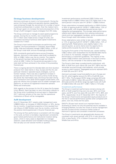#### **Strategy/business developments**

Ashmore continues to invest in its future growth. During the period, the Group's global and specialist equities capabilities were enhanced through the recruitment of a number of senior investment professionals in London. Over the medium term, the Group's goal is to increase the level and proportion of the Group's AuM managed in equity strategies from 6% today.

The Group continues to manage its seed capital programme actively. During the six months, new investments of £27.7 million were made across a range of funds, and successful recycling of previous seed capital investments totalled £18.7 million.

The Group's local market businesses are performing well. Together, the five businesses in Colombia, Saudi Arabia, Dubai, India and Indonesia manage US\$4.3 billion, or 6% of the Group's total AuM, and are increasingly profitable.

With consistently good performance across Emerging Markets, Ashmore's intermediary retail AuM increased by 20% to US\$8.1 billion over the six months. The majority of the growth has been delivered through net inflows, which at US\$1.1 billion for the period are equivalent to the total retail net flows achieved in the whole of the preceding financial year.

There is ongoing demand for blended debt and short duration products from retail clients in Asia, Europe and the US, and particular interest in specialist equity strategies, such as frontier markets. There was also a significant increase in Europe and US client flows into local currency funds during the period. By intermediary type, the Group has seen strong flow momentum from Asian and European private banks, and good net inflows from European and US wealth managers and platforms, as well as US registered investment advisers (RIAs) and wirehouses.

With regards to the process for the UK to leave the European Union (Brexit), there has been no new information relevant to the Group since it published its annual report in September 2017. Ashmore remains of the view that the operational implications of Brexit will be manageable.

#### **AuM development**

As at 31 December 2017, assets under management were US\$69.5 billion, an increase of US\$10.8 billion, or 18%, during the six months. A significant proportion of this resulted from net inflows of US\$7.9 billion over the six months, continuing the positive trend experienced in the prior financial year.

The strong net flow performance is consistent with this stage in the cycle, as there is inevitably a lag between consistently good market performance and institutional investors taking action, which in many cases is dependent on manager selection, asset allocation and mandate funding processes that can play out over several months or quarters.

Investment performance contributed US\$3.2 billion and average AuM of US\$64.3 billion was 21% higher than in the same period in the prior year (H1 2016/17: US\$53.3 billion).

Gross subscriptions increased significantly to US\$15.0 billion, or 26% of opening AuM (H1 2016/17: US\$5.5 billion, 10% of opening AuM), with broad-based demand across client categories and geographies. The stronger sales performance reflects both higher allocations from existing institutional clients and new segregated mandates, and an acceleration of flows through retail intermediary channels.

Gross redemptions were similar to last year at US\$7.1 billion, or 12% of opening AuM (H1 2016/17: US\$6.2 billion, 12% of opening AuM). Redemptions were slightly higher in the second quarter, as some clients took the opportunity to realise profits towards the end of the calendar year.

During the first quarter of the financial year, assets totalling US\$2.2 billion were reclassified into the blended debt theme as a result of, for example, changes to performance benchmarks or investment guidelines. The majority of the assets (US\$2.0 billion) were previously in the local currency theme, with the remainder in the external debt theme.

The Group's client base is predominantly institutional, with 88% of AuM from such clients (30 June 2017: 88%) and the remainder sourced through intermediaries, which provide access to retail investors. Segregated accounts represent 64% of AuM (30 June 2017: 67%).

Ashmore's principal mutual fund platforms are in Europe and the US, which together account for 20% of AuM (30 June 2017: 19%). The European SICAV range comprises 26 funds with AuM of US\$12.1 billion (30 June 2017: US\$9.3 billion in 26 funds) and the US 40-Act range has eight funds with AuM of US\$2.0 billion (30 June 2017: US\$1.7 billion in 10 funds).

#### Investment performance

The Group's investment performance remains strong with 82% of AuM outperforming over one year, 93% over three years, and 87% over five years (30 June 2017: 91%, 86% and 87%, respectively). As at 31 December 2017, the majority of the Group's fixed income and specialist equity products are in the first or second performance quartile when compared with peers, over one, three and five years.

EMLIP's 25-year track record is an important factor in illustrating to clients not only the potential returns available in Emerging Markets, but also the virtues of active management and the success across numerous market cycles of Ashmore's rigorous and consistent investment processes.

The Group's investments are geographically diverse and consistent with recent periods, with 37% in Latin America, 23% in Asia Pacific, 27% in Eastern Europe and 13% in the Middle East and Africa.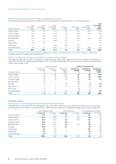#### AuM movements by investment theme as classified by mandate

The development during the period of AuM by theme as classified by mandate is shown in the following table.

| Investment theme    | AuM<br>30 June 2017<br>US\$bn | Gross<br>subscriptions<br>US\$bn | Gross<br>redemptions<br>US\$bn | Net flows<br>US\$bn | Performance<br>US\$bn | Other/<br>reclassification<br>US\$bn | AuM<br>31 December<br>2017<br><b>US\$bn</b> |
|---------------------|-------------------------------|----------------------------------|--------------------------------|---------------------|-----------------------|--------------------------------------|---------------------------------------------|
| External debt       | 13.3                          | 2.4                              | (1.1)                          | 1.3                 | 0.6                   | (0.2)                                | 15.0                                        |
| Local currency      | 13.7                          | 4.1                              | (1.7)                          | 2.4                 | 0.8                   | (2.0)                                | 14.9                                        |
| Corporate debt      | 6.3                           | 2.6                              | (1.5)                          | 1.1                 | 0.4                   |                                      | 7.8                                         |
| <b>Blended debt</b> | 14.6                          | 2.6                              | (1.4)                          | 1.2                 | 0.8                   | 2.2                                  | 18.8                                        |
| Equities            | 3.4                           | 1.1                              | (0.9)                          | 0.2                 | 0.3                   |                                      | 3.9                                         |
| Alternatives        | 1.5                           | 0.1                              |                                | 0.1                 |                       |                                      | 1.6                                         |
| Multi-asset         | 1.1                           |                                  | (0.1)                          | (0.1)               | 0.2                   |                                      | 1.2                                         |
| Overlay/liquidity   | 4.8                           | 2.1                              | (0.4)                          | 1.7                 | 0.1                   | (0.3)                                | 6.3                                         |
| <b>Total</b>        | 58.7                          | 15.0                             | (7.1)                          | 7.9                 | 3.2                   | (0.3)                                | 69.5                                        |

In August 2017, Ashmore's equity interest in Taiping Fund Management Company Limited reduced from 15% to 8.5%, resulting in a US\$0.3 billion reduction in AuM in the overlay/liquidity investment theme.

#### AuM % by investment theme as classified by mandate and as invested

The following table reports AuM 'as invested' by underlying asset class, which adjusts from the 'by mandate' presentation to reflect the allocation to underlying asset classes of the multi-asset and blended debt themes, and the cross-over investment by certain external debt funds.

|                     |                               | AuM at 30 June 2017               |                                     |                                      | AuM at 31 December 2017                  |                                                   |  |
|---------------------|-------------------------------|-----------------------------------|-------------------------------------|--------------------------------------|------------------------------------------|---------------------------------------------------|--|
| Investment theme    | Classified by<br>mandate<br>% | Classified as<br>invested<br>$\%$ | Classified as<br>invested<br>US\$bn | <b>Classified by</b><br>mandate<br>% | <b>Classified as</b><br>invested<br>$\%$ | <b>Classified as</b><br>invested<br><b>US\$bn</b> |  |
| External debt       | 23                            | 39                                | 22.5                                | 22                                   | 38                                       | 26.5                                              |  |
| Local currency      | 23                            | 30                                | 17.8                                | 21                                   | 30                                       | 20.8                                              |  |
| Corporate debt      | 11                            | 13                                | 7.8                                 | 11                                   | 14                                       | 9.4                                               |  |
| <b>Blended debt</b> | 25                            |                                   |                                     | 27                                   |                                          |                                                   |  |
| Equities            | 6                             |                                   | 3.9                                 | 6                                    | 6                                        | 4.5                                               |  |
| Alternatives        | ◠                             | 3                                 | 1.8                                 | 2                                    | 3                                        | 1.8                                               |  |
| Multi-asset         | ◠                             |                                   |                                     |                                      |                                          |                                                   |  |
| Overlay/liquidity   | 8                             | 8                                 | 4.9                                 | 9                                    | 9                                        | 6.5                                               |  |
| <b>Total</b>        | 100                           | 100                               | 58.7                                | 100                                  | 100                                      | 69.5                                              |  |

#### **Financial review**

#### Fee income and net management fee margin by investment theme

The table below summarises the net management fee income after distribution costs, performance fee income, and average net management fee margin by investment theme, determined by reference to weighted average assets under management.

|                     |                  | Net management fees |                  | Performance fees | Net management fee margin |                   |
|---------------------|------------------|---------------------|------------------|------------------|---------------------------|-------------------|
| Investment theme    | H1 2017/18<br>£m | H1 2016/17<br>£m    | H1 2017/18<br>£m | H1 2016/17<br>£m | H1 2017/18<br>bps         | H1 2016/17<br>bps |
| External debt       | 24.4             | 23.6                | 1.7              | 8.3              | 45                        | 51                |
| Local currency      | 21.4             | 22.7                | 7.3              | 10.8             | 43                        | 43                |
| Corporate debt      | 16.3             | 12.7                | 0.8              |                  | 61                        | 61                |
| <b>Blended debt</b> | 34.1             | 30.8                | 4.9              | 2.5              | 50                        | 53                |
| Equities            | 10.8             | 11.4                | 0.1              |                  | 79                        | 96                |
| Alternatives        | 6.6              | 7.9                 |                  |                  | 137                       | 141               |
| Multi-asset         | 3.3              | 3.8                 |                  |                  | 76                        | 82                |
| Overlay/liquidity   | 3.6              | 2.0                 |                  |                  | 17                        | 16                |
| <b>Total</b>        | 120.5            | 114.9               | 14.8             | 21.6             | 50                        | 54                |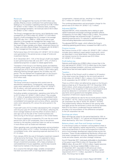#### Revenues

Higher net management fee income of £120.5 million was partially offset by a lower contribution from performance fees, leading to a 1% increase in operating revenues to £136.7 million (H1 2016/17: £135.7 million). On a statutory basis, including foreign exchange translation, net revenues were £134.4 million (H1 2016/17: £144.1 million).

The Group's management fee income, net of distribution costs, increased 5% to £120.5 million (H1 2016/17: £114.9 million). Growth in AuM outweighed the 4% increase in the average GBP:USD rate, from 1.2809 to 1.3259, and a year-on-year reduction in the average net management fee margin from 54bps to 50bps. The movement in the margin is attributable to the impact of large mandate wins (2bps), investment theme mix (1.5bps), and other effects (0.5bps). Compared with H2 2016/17, the net management fee margin was unchanged.

Performance fees of £14.8 million (H1 2016/17: £21.6 million) were generated in the period across a range of funds and investment themes.

At 31 December 2017, 12% of the Group's AuM was eligible to earn performance fees (30 June 2017: 12%), of which a substantial proportion is subject to rebate agreements.

Translation of the Group's non-Sterling assets and liabilities, excluding seed capital, at the period end resulted in a foreign exchange loss of £2.3 million (H1 2016/17: £8.4 million gain). reflecting Sterling strength against the US dollar over the period. The net realised and unrealised gain on the Group's foreign exchange hedges was £0.3 million (H1 2016/17: £3.0 million loss).

#### Operating costs

The Group continues to exercise strict control over its discretionary expenditure. Consequently, total operating costs were reduced by 6% to £48.7 million (H1 2016/17: £51.8 million), with both personnel and other operating costs lower than in the prior year period.

Excluding variable compensation, operating costs fell by 5% to £27.0 million (H1 2016/17: £28.5 million). This includes £1.1 million of operating costs borne by consolidated funds (H1 2016/17: £1.4 million). Excluding variable compensation, consolidated fund expenses and currency effects, operating costs were reduced by 3% versus the same period in the prior year.

Fixed staff costs of £12.3 million decreased by 5% compared with the prior year (H1 2016/17: £12.9 million), reflecting 3% lower average headcount and the effect of actions taken a year ago such as the sale of the Turkish business and restructuring of the Group's operations in the United States.

The Group's headcount increased by 2% over the six-month period from 252 to 257 employees, due to recruitment centred on the equities investment team as well as increases in local offices such as Dubai and Indonesia.

Other operating costs, excluding depreciation and amortisation, fell by £0.8 million to £12.1 million. Excluding the effects of consolidated funds, other operating expenses declined 4% to £11.0 million.

From January 2018, the cost of third-party investment research will be borne by the Group. This is not expected to have a material impact on operating costs given the nature of the Group's investment processes, with a heavy emphasis on well-established in-house capabilities, and the bias towards fixed income markets in the Group's AuM mix.

As is usual at the half-year stage, variable compensation has been accrued at 20% of earnings before variable

compensation, interest and tax, resulting in a charge of £21.7 million (H1 2016/17: £23.3 million).

The combined depreciation and amortisation charge for the period was £2.6 million (H1 2016/17: £2.7 million).

#### **Adjusted EBITDA**

Adjusted EBITDA, which reclassifies items relating to seed capital investments and foreign exchange translation effects, increased by 2% from £89.7 million to £91.2 million. This positive operating leverage was achieved through 1% growth in operating revenues and a 1% reduction in adjusted operating costs excluding depreciation and amortisation.

The adjusted EBITDA margin, which reflects the Group's underlying operating performance, increased from 66% to 67%.

#### Finance income

Net finance income of £9.1 million (H1 2016/17: £26.1 million) includes items relating to seed capital investments, which are described in more detail below. Excluding these items, net interest income for the period was £2.0 million (H1 2016/17: £1.2 million).

#### Profit before tax

Statutory profit before tax of £99.0 million is lower than in the prior year period (H1 2016/17: £121.5 million) due to the impact of foreign exchange translation, and lower contributions from performance fees and seed capital investments.

#### **Taxation**

The majority of the Group's profit is subject to UK taxation; of the total current tax charge for the six-month period of £18.9 million (H1 2016/17: £22.1 million), £14.3 million relates to UK corporation tax (H1 2016/17: £17.4 million).

There is a £19.2 million net deferred tax asset on the Group's balance sheet as at 31 December 2017 (31 December 2016: £13.9 million), which arises principally as a result of timing differences in the recognition of the accounting expense and actual tax deduction in connection with i) share-based payments and ii) goodwill and intangibles arising on the acquisition of Ashmore's equity business.

The Group's effective tax rate for the six-month period is 18.0% (H1 2016/17: 18.7%), which is lower than the prevailing UK corporation tax rate of 19.0% (H1 2016/17: 19.75%). This predominantly reflects the blend of the varying rates that apply across the territories in which the Group operates. Note 9 to the interim condensed financial statements provides a full reconciliation of this difference compared to the UK corporation tax rate.

#### Earnings per share

Basic earnings per share for the period declined by 18% to 12.0 pence (H1 2016/17: 14.7 pence) and diluted earnings per share declined by 19% from 13.9 pence to 11.3 pence.

#### Balance sheet, cash flow and foreign exchange

It is the Group's policy to maintain a strong balance sheet in order to meet regulatory capital requirements, to support the commercial demands of current and prospective investors, and to fund strategic development opportunities across the business. These include establishing distribution offices and local asset management ventures, seeding and investing in funds and other assets, and other strategic initiatives.

As at 31 December 2017, total equity attributable to shareholders of the parent was £704.9 million (31 December 2016: £695.8 million, 30 June 2017: £724.4 million). Capital resources available to the Group totalled £596.2 million as at 31 December 2017, equivalent to 84 pence per share, and significantly exceeded the Group's regulatory capital requirement of £111.1 million, equivalent to 16 pence per share. The Group has no debt.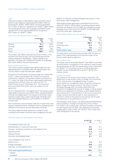#### *Cash*

Ashmore's business model delivers a high conversion rate of profits to cash. Based on operating profit of £90.2 million for the period (H1 2016/17: £94.6 million), the Group generated £72.7 million of cash from operations (H1 2016/17: £96.6 million). The operating cash flows after excluding consolidated funds represent 81% of the adjusted EBITDA for the period of £91.2 million (H1 2016/17: 109%).

#### *Cash and cash equivalents by currency*

|              | 31 December<br>2017<br>£m | 30 June<br>2017<br>£m |
|--------------|---------------------------|-----------------------|
| Sterling     | 51.7                      | 149.7                 |
| US dollar    | 296.3                     | 253.8                 |
| Other        | 20.7                      | 29.0                  |
| <b>Total</b> | 368.7                     | 432.5                 |

The Group's cash balance declined over the six months. In the first half of the financial year, the Group distributes the final ordinary dividend to shareholders, makes corporation tax payments, and pays cash variable remuneration to employees, all of which relate to the prior financial year.

#### *Seed capital investments*

The Group's actively managed seed capital programme has delivered growth in third-party AuM with approximately 13% of Group AuM in funds that have been seeded.

During the six-month period, the Group made new investments of £27.7 million and realised £18.7 million from previous investments. Together with positive market movements of £7.1 million, the value of the Group's seed capital investments increased from £210.2 million as at 30 June 2017 to £226.3 million as at 31 December 2017. The Group has also committed £35.8 million that was undrawn at the period end.

As at 31 December 2017, the original cost of the Group's current seed capital investments was £184.0 million, representing 29% of Group net tangible equity. The majority of the Group's seed capital by market value is held in liquid funds with better than one-month dealing frequency, such as SICAV or US 40-Act mutual funds.

New investments were principally made into mutual funds in the equities investment theme, consistent with the strategic growth initiatives for this theme, and into alternatives products.

The Group redeemed seed capital from a range of funds, including frontier equity funds and funds managed by the local platform in Indonesia, as these strategies saw growth in thirdparty assets under management.

Seed capital activities generated a profit before tax of £10.5 million (H1 2016/17: £25.8 million), comprising positive market and other movements of £13.5 million and a foreign exchange translation loss of £3.0 million (H1 2016/17: £10.9 million gain and £14.9 million gain, respectively).

#### *Seed capital market value by currency*

|                           | 31 December<br>2017<br>£m | 30 June<br>2017<br>£m |
|---------------------------|---------------------------|-----------------------|
| US dollar                 | 205.7                     | 188.3                 |
| Colombian peso            | 12.4                      | 9.6                   |
| Other                     | 8.2                       | 12.3                  |
| <b>Total market value</b> | 226.3                     | 210.2                 |

The table below summarises the principal IFRS line items to assist in the understanding of the financial impact of the Group's seed capital programme.

#### *Own shares held*

The Group uses an Employee Benefit Trust (EBT) to purchase and hold shares in anticipation of the vesting of share awards. During the period, the EBT purchased shares worth £10.3 million (H1 2016/17: £11.8 million) and as at 31 December 2017, the EBT owned 34,953,460 (30 June 2017: 38,701,321) ordinary shares.

#### *Foreign exchange*

The majority of the Group's fee income is received in US dollars and it is the Group's policy to hedge up to two-thirds of the notional value of budgeted foreign currencydenominated net management fees, using either forward or option foreign exchange contracts. The Group's Foreign Exchange Management Committee determines the proportion of budgeted fee income to hedge or sell by regular reference to expected non-US dollar, and principally Sterling, cash requirements. The proportion of fee income received in foreign currency and held as cash or cash equivalents is marked to market at the period end exchange rate through the statement of comprehensive income.

The translation of the Group's non-Sterling denominated balance sheet resulted in a foreign exchange loss of £2.3 million (H1 2016/17: £8.4 million gain), primarily the effect of Sterling strength against the US dollar. Net realised and unrealised hedging gains of £0.3 million (H1 2016/17: £3.0 million loss) were recognised for the period.

|                                                       | H1 2017/18<br>£m | H1 2016/17<br>£m |
|-------------------------------------------------------|------------------|------------------|
| Consolidated funds (note 14):                         |                  |                  |
| Gains/(losses) on investment securities               | 9.4              | 6.7              |
| Change in third-party interests in consolidated funds | (4.9)            | (4.4)            |
| Operating costs                                       | (1.1)            | (1.4)            |
| Finance income                                        | 2.7              | 4.0              |
| Sub-total: consolidated funds                         | 6.1              | 4.9              |
| Unconsolidated funds (note 7):                        |                  |                  |
| Market return                                         | 7.4              | 6.0              |
| Foreign exchange                                      | (3.0)            | 14.9             |
| Sub-total: unconsolidated funds                       | 4.4              | 20.9             |
| <b>Total seed capital profit/(loss)</b>               | 10.5             | 25.8             |
| - realised                                            |                  | 7.9              |
| - unrealised                                          | 10.5             | 17.9             |

#### *Financial impact of seed capital investments*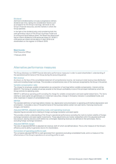#### Dividend

Ashmore's dividend policy is to pay a progressive ordinary dividend over time, taking into consideration factors such as prospects for the Group's earnings, demands on the Group's financial resources, and the markets in which the Group operates.

In the light of the dividend policy and considering both the cash-generative nature of the Group's business model and its strong and liquid balance sheet, the Board has determined that an interim dividend of 4.55 pence per share (H1 2016/17: 4.55 pence per share) will be paid on 4 April 2018 to all shareholders on the register on 9 March 2018.

**Mark Coombs**  Chief Executive Officer

7 February 2018

# Alternative performance measures

The Group discloses non-GAAP financial alternative performance measures in order to assist shareholders' understanding of the operational performance of the Group during the accounting period.

#### Net revenue

As shown on the face of the consolidated statement of comprehensive income, net revenue is total revenue less distribution costs and including foreign exchange. This provides a comprehensive view of the revenues recognised by the Group in the period.

#### Variable compensation ratio

The charge for employee variable compensation as a proportion of earnings before variable compensation, interest and tax (EBVCIT). The linking of variable annual pay awards to the Group's profitability is one of the principal methods by which the Group controls its operating costs.

EBVCIT is defined as operating profit excluding the charge for variable compensation and seed capital-related items. The items relating to seed capital are gains/losses on investment securities; change in third-party interests in consolidated funds; and other expenses in respect of consolidated funds.

#### **FRITDA**

The standard definition of earnings before interest, tax, depreciation and amortisation is operating profit before depreciation and amortisation. It provides a view of the performance of the business before certain non-cash items, financing income and charges, and taxation.

#### Adjusted EBITDA, adjusted operating costs, and operating revenues

Adjusted figures exclude items relating to foreign exchange translation and seed capital.

This provides a better understanding of the Group's operational performance excluding the mark-to-market volatility of foreign exchange translation and seed capital investments. These adjustments are merely reclassified within the adjusted profit and loss account, leaving statutory profit before tax unchanged. Operating revenues are defined on the same basis, that is, excluding foreign exchange translation.

#### Adjusted EBITDA margin

The ratio of adjusted EBITDA to adjusted net revenue, both of which are defined above. This is a fair measure of the Group's efficiency and its ability to generate returns for shareholders.

#### Conversion of operating profits to cash

This compares adjusted EBITDA to cash generated from operations excluding consolidated funds, and is a measure of the effectiveness of the Group's operations at converting profits to cash.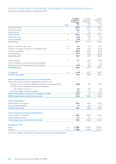# Interim condensed consolidated statement of comprehensive income

For the six months ended 31 December 2017

|                                                                        |                | <b>Unaudited</b><br>6 months to | Unaudited<br>6 months to | Audited<br>12 months to |
|------------------------------------------------------------------------|----------------|---------------------------------|--------------------------|-------------------------|
|                                                                        |                | 31 December                     | 31 December              | 30 June                 |
|                                                                        | <b>Notes</b>   | 2017<br>£m                      | 2016<br>£m               | 2017                    |
| Management fees                                                        |                | 124.4                           | 116.8                    | £m<br>226.2             |
| Performance fees                                                       |                | 14.8                            | 21.6                     | 28.3                    |
| Other revenue                                                          |                | 1.1                             | 2.2                      | 2.7                     |
| <b>Total revenue</b>                                                   | 5              | 140.3                           | 140.6                    | 257.2                   |
| Distribution costs                                                     |                | (3.9)                           | (1.9)                    | (4.6)                   |
| Foreign exchange                                                       | 6              | (2.0)                           | 5.4                      | 5.0                     |
| <b>Net revenue</b>                                                     |                | 134.4                           | 144.1                    | 257.6                   |
| Gains on investment securities                                         | 14             | 9.4                             | 6.7                      | 22.4                    |
| Change in third-party interests in consolidated funds                  | 14             | (4.9)                           | (4.4)                    | (12.5)                  |
| Personnel expenses                                                     |                | (34.0)                          | (36.2)                   | (67.8)                  |
| Other expenses                                                         |                | (14.7)                          | (15.6)                   | (32.9)                  |
| <b>Operating profit</b>                                                |                | 90.2                            | 94.6                     | 166.8                   |
| Finance income                                                         | 7              | 9.1                             | 26.1                     | 38.6                    |
| Profit on disposal of joint ventures and subsidiaries                  |                |                                 | 1.6                      | 1.6                     |
| Share of losses from associates and joint ventures                     |                | (0.3)                           | (0.8)                    | (0.8)                   |
| <b>Profit before tax</b>                                               |                | 99.0                            | 121.5                    | 206.2                   |
| Tax expense                                                            | $\overline{9}$ | (17.8)                          | (22.7)                   | (36.7)                  |
| <b>Profit for the period</b>                                           |                | 81.2                            | 98.8                     | 169.5                   |
| Other comprehensive income, net of related tax effect                  |                |                                 |                          |                         |
| Items that may be reclassified subsequently to profit or loss:         |                |                                 |                          |                         |
| Foreign currency translation differences arising on foreign operations |                | (18.9)                          | 6.2                      | (16.7)                  |
| Fair value reserve (available-for-sale financial assets):              |                |                                 |                          |                         |
| Net change in fair value                                               |                | 2.4                             | 0.6                      | 2.9                     |
| Cash flow hedge intrinsic value gains                                  |                | 0.8                             | 1.0                      | 3.8                     |
| Other comprehensive income, net of related tax effect                  |                | (15.7)                          | 7.8                      | (10.0)                  |
| Total comprehensive income for the period                              |                | 65.5                            | 106.6                    | 159.5                   |
| <b>Profit attributable to:</b>                                         |                |                                 |                          |                         |
| Equity holders of the parent                                           |                | 80.2                            | 98.4                     | 167.6                   |
| Non-controlling interests                                              |                | 1.0                             | 0.4                      | 1.9                     |
| <b>Profit for the period</b>                                           |                | 81.2                            | 98.8                     | 169.5                   |
| Total comprehensive income attributable to:                            |                |                                 |                          |                         |
| Equity holders of the parent                                           |                | 64.5                            | 106.3                    | 157.8                   |
| Non-controlling interests                                              |                | 1.0                             | 0.3                      | 1.7                     |
| Total comprehensive income for the period                              |                | 65.5                            | 106.6                    | 159.5                   |
| <b>Earnings per share</b>                                              |                |                                 |                          |                         |
| <b>Basic</b>                                                           | 10             | 11.96p                          | 14.72p                   | 25.07p                  |
| Diluted                                                                | 10             | 11.28p                          | 13.93p                   | 23.71p                  |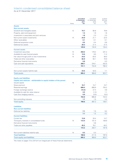# Interim condensed consolidated balance sheet

As at 31 December 2017

|                                                                                 |              | <b>Unaudited</b><br>31 December | Unaudited<br>31 December | Audited<br>30 June    |
|---------------------------------------------------------------------------------|--------------|---------------------------------|--------------------------|-----------------------|
|                                                                                 | <b>Notes</b> | 2017<br>£m                      | 2016<br>£m               | 2017<br>$\mathsf{fm}$ |
| <b>Assets</b>                                                                   |              |                                 |                          |                       |
| <b>Non-current assets</b>                                                       |              |                                 |                          |                       |
| Goodwill and intangible assets                                                  | 12           | 74.7                            | 85.8                     | 79.9                  |
| Property, plant and equipment                                                   |              | 1.3                             | 1.8                      | 1.6                   |
| Investment in associates and joint ventures                                     |              | 1.8                             | 2.3                      | 2.3                   |
| Non-current asset investments                                                   | 14           | 24.9                            | 21.1                     | 22.5                  |
| Other receivables                                                               |              | 0.1                             | 0.1                      | 0.1                   |
| Deferred acquisition costs                                                      |              | 0.5                             | 0.4                      | 0.6                   |
| Deferred tax assets                                                             |              | 26.3                            | 21.4                     | 27.4                  |
|                                                                                 |              | 129.6                           | 132.9                    | 134.4                 |
| <b>Current assets</b>                                                           |              |                                 |                          |                       |
| Investment securities                                                           | 14           | 250.5                           | 178.2                    | 231.2                 |
| Available-for-sale financial assets                                             | 14           | 13.6                            | 9.0                      | 11.3                  |
| Fair value through profit or loss investments                                   | 14           | 24.5                            | 63.5                     | 36.0                  |
| Trade and other receivables                                                     |              | 82.9                            | 94.1                     | 70.9                  |
| Derivative financial instruments                                                |              | 0.9                             | $\equiv$                 | 0.3                   |
| Cash and cash equivalents                                                       |              | 368.7                           | 378.1                    | 432.5                 |
|                                                                                 |              | 741.1                           | 722.9                    | 782.2                 |
|                                                                                 |              |                                 |                          |                       |
| Non-current assets held-for-sale                                                | 14           | 24.5                            | 53.0                     | 7.1                   |
| <b>Total assets</b>                                                             |              | 895.2                           | 908.8                    | 923.7                 |
|                                                                                 |              |                                 |                          |                       |
| <b>Equity and liabilities</b>                                                   |              |                                 |                          |                       |
| Capital and reserves - attributable to equity holders of the parent             |              |                                 |                          |                       |
| Issued capital                                                                  | 16           |                                 |                          |                       |
| Share premium                                                                   |              | 15.7                            | 15.7                     | 15.7                  |
| Retained earnings                                                               |              | 699.4                           | 656.9                    | 703.2                 |
| Foreign exchange reserve                                                        |              | (14.3)                          | 27.4                     | 4.6                   |
| Available-for-sale fair value reserve                                           |              | 3.5                             | (1.2)                    | 1.1                   |
| Cash flow hedging reserve                                                       |              | 0.6                             | (3.0)                    | (0.2)                 |
|                                                                                 |              | 704.9                           | 695.8                    | 724.4                 |
| Non-controlling interests                                                       |              | 1.7                             | 1.5                      | 2.3                   |
| <b>Total equity</b>                                                             |              | 706.6                           | 697.3                    | 726.7                 |
|                                                                                 |              |                                 |                          |                       |
| <b>Liabilities</b>                                                              |              |                                 |                          |                       |
| <b>Non-current liabilities</b>                                                  |              |                                 |                          |                       |
| Deferred tax liabilities                                                        |              | 7.1                             | 7.5                      | 9.2                   |
|                                                                                 |              | 7.1                             | 7.5                      | 9.2                   |
| <b>Current liabilities</b>                                                      |              |                                 |                          |                       |
| Current tax                                                                     |              | 13.6                            | 20.4                     | 14.7                  |
|                                                                                 |              | 113.4                           | 101.4                    |                       |
| Third-party interests in consolidated funds<br>Derivative financial instruments | 14           |                                 |                          | 108.9                 |
|                                                                                 |              |                                 | 3.8                      |                       |
| Trade and other payables                                                        |              | 45.2                            | 78.1                     | 64.2                  |
|                                                                                 |              | 172.2                           | 203.7                    | 187.8                 |
|                                                                                 |              |                                 |                          |                       |
| Non-current liabilities held-for-sale                                           | 14           | 9.3                             | 0.3                      |                       |
| <b>Total liabilities</b>                                                        |              | 188.6                           | 211.5                    | 197.0                 |
| <b>Total equity and liabilities</b>                                             |              | 895.2                           | 908.8                    | 923.7                 |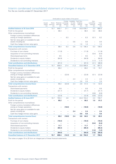# Interim condensed consolidated statement of changes in equity

For the six months ended 31 December 2017

|                                                                    |                                       |                          |                          |                                    | Attributable to equity holders of the parent              |                          |                   |                                        |                       |
|--------------------------------------------------------------------|---------------------------------------|--------------------------|--------------------------|------------------------------------|-----------------------------------------------------------|--------------------------|-------------------|----------------------------------------|-----------------------|
|                                                                    | <b>Issued</b><br>capital<br><b>fm</b> | Share<br>premium<br>£m   | earnings<br>£m           | Retained exchange<br>reserve<br>£m | Foreign Available- Cash flow<br>for-sale<br>reserve<br>£m | hedging<br>reserve<br>£m | Total<br>£m       | Non-<br>controlling<br>interests<br>£m | Total<br>equity<br>£m |
| <b>Audited balance at 30 June 2016</b>                             | ÷                                     | 15.7                     | 645.7                    | 21.1                               | (1.8)                                                     |                          | $(4.0)$ 676.7     | 3.3                                    | 680.0                 |
| Profit for the period                                              |                                       | L,                       | 98.4                     |                                    |                                                           |                          | 98.4              | 0.4                                    | 98.8                  |
| Other comprehensive income/(loss):                                 |                                       |                          |                          |                                    |                                                           |                          |                   |                                        |                       |
| Foreign currency translation differences                           |                                       |                          |                          |                                    |                                                           |                          |                   |                                        |                       |
| arising on foreign operations                                      |                                       |                          |                          | 6.3                                |                                                           |                          | 6.3               | (0.1)                                  | 6.2                   |
| Net fair value gains on available-for-sale<br>assets including tax |                                       |                          |                          | $\equiv$                           | 0.6                                                       | $\overline{\phantom{0}}$ | 0.6               | $\equiv$                               | 0.6                   |
| Cash flow hedge intrinsic value gains                              |                                       |                          |                          |                                    | ÷,                                                        | 1.0                      | 1.0               | $\overline{\phantom{0}}$               | $1.0$                 |
| <b>Total comprehensive income/(loss)</b>                           | L.                                    | $\overline{\phantom{0}}$ | 98.4                     | 6.3                                | 0.6                                                       | 1.0                      | 106.3             | 0.3                                    | 106.6                 |
| Transactions with owners:                                          |                                       |                          |                          |                                    |                                                           |                          |                   |                                        |                       |
| Purchase of own shares                                             |                                       |                          | (11.8)                   | -                                  |                                                           |                          | (11.8)            | -                                      | (11.8)                |
| Acquisition of non-controlling interests                           |                                       |                          | L,                       |                                    |                                                           |                          | $\qquad \qquad -$ | (0.4)                                  | (0.4)                 |
| Share-based payments                                               |                                       |                          | 9.5                      |                                    |                                                           |                          | 9.5               | ÷                                      | 9.5                   |
| Dividends to equity holders                                        |                                       |                          | (84.9)                   |                                    |                                                           |                          | (84.9)            | $\overline{\phantom{0}}$               | (84.9)                |
| Dividends to non-controlling interests                             |                                       |                          | $\overline{\phantom{0}}$ | -                                  |                                                           |                          | $\qquad \qquad -$ | (1.7)                                  | (1.7)                 |
| <b>Total contributions and distributions</b>                       | L,                                    | $\overline{\phantom{0}}$ | (87.2)                   | Ē,                                 |                                                           |                          | (87.2)            | (2.1)                                  | (89.3)                |
| <b>Unaudited balance at 31 December 2016</b>                       | $\overline{\phantom{0}}$              | 15.7                     | 656.9                    | 27.4                               | (1.2)                                                     | (3.0)                    | 695.8             | 1.5                                    | 697.3                 |
| Profit for the period                                              | ÷                                     | $\overline{\phantom{0}}$ | 69.2                     |                                    |                                                           |                          | 69.2              | 1.5                                    | 70.7                  |
| Other comprehensive income/(loss):                                 |                                       |                          |                          |                                    |                                                           |                          |                   |                                        |                       |
| Foreign currency translation differences                           |                                       |                          |                          | (22.8)                             |                                                           |                          | (22.8)            |                                        |                       |
| arising on foreign operations                                      |                                       |                          |                          |                                    |                                                           |                          |                   | (0.1)                                  | (22.9)                |
| Net fair value gains on available-for-sale<br>assets including tax |                                       |                          |                          |                                    | 2.3                                                       | $\overline{\phantom{0}}$ | 2.3               |                                        | 2.3                   |
| Cash flow hedge intrinsic value gains                              |                                       |                          | $\overline{\phantom{0}}$ | $\qquad \qquad -$                  | $\overline{\phantom{0}}$                                  | 2.8                      | 2.8               | $\overline{\phantom{0}}$               | 2.8                   |
| <b>Total comprehensive income/(loss)</b>                           |                                       | $\equiv$                 | 69.2                     | (22.8)                             | 2.3                                                       | 2.8                      | 51.5              | 1.4                                    | 52.9                  |
| Transactions with owners:                                          |                                       |                          |                          |                                    |                                                           |                          |                   |                                        |                       |
| Share-based payments                                               |                                       |                          | 8.8                      |                                    |                                                           |                          | 8.8               | $\overline{\phantom{0}}$               | 8.8                   |
| Dividends to equity holders                                        |                                       | $\overline{\phantom{0}}$ | (31.7)                   |                                    |                                                           |                          | (31.7)            | ÷,                                     | (31.7)                |
| Dividends to non-controlling interests                             | $\overline{\phantom{0}}$              | $\overline{\phantom{0}}$ | ÷,                       | $\overline{\phantom{0}}$           |                                                           |                          | $\equiv$          | (0.6)                                  | (0.6)                 |
| <b>Total contributions and distributions</b>                       | $\overline{\phantom{0}}$              | $\overline{\phantom{0}}$ | (22.9)                   | $\overline{\phantom{0}}$           |                                                           | $\overline{\phantom{0}}$ | (22.9)            | (0.6)                                  | (23.5)                |
| <b>Audited balance at 30 June 2017</b>                             |                                       | 15.7                     | 703.2                    | 4.6                                | 1.1                                                       |                          | $(0.2)$ 724.4     | 2.3                                    | 726.7                 |
| Profit for the period                                              |                                       |                          | 80.2                     |                                    |                                                           |                          | 80.2              | 1.0                                    | 81.2                  |
| Other comprehensive income/(loss):                                 |                                       |                          |                          |                                    |                                                           |                          |                   |                                        |                       |
| Foreign currency translation differences                           |                                       |                          |                          |                                    |                                                           |                          |                   |                                        |                       |
| arising on foreign operations                                      |                                       |                          |                          | (18.9)                             |                                                           |                          | (18.9)            |                                        | (18.9)                |
| Net fair value gains on available-for-sale                         |                                       |                          |                          |                                    |                                                           |                          |                   |                                        |                       |
| assets including tax                                               |                                       |                          |                          | $\overline{\phantom{0}}$           | 2.4                                                       | $\overline{\phantom{0}}$ | 2.4               | $\overline{\phantom{0}}$               | 2.4                   |
| Cash flow hedge intrinsic value gains                              | -                                     | $\overline{\phantom{0}}$ |                          |                                    |                                                           | 0.8                      | 0.8               | $\overline{\phantom{0}}$               | 0.8                   |
| <b>Total comprehensive income/(loss)</b>                           | $\overline{\phantom{0}}$              | $\overline{\phantom{0}}$ | 80.2                     | (18.9)                             | 2.4                                                       | 0.8                      | 64.5              | 1.0                                    | 65.5                  |
| Transactions with owners:                                          |                                       |                          |                          |                                    |                                                           |                          |                   |                                        |                       |
| Purchase of own shares                                             |                                       | $\overline{\phantom{0}}$ | (10.3)                   |                                    |                                                           |                          | (10.3)            | $\qquad \qquad -$                      | (10.3)                |
| Acquisition of non-controlling interests                           |                                       |                          |                          |                                    | -                                                         |                          | $\qquad \qquad -$ | (0.4)                                  | (0.4)                 |
| Share-based payments                                               |                                       | -                        | 11.7                     | -                                  | -                                                         |                          | 11.7              | $\equiv$                               | 11.7                  |
| Dividends to equity holders                                        |                                       | $\overline{\phantom{0}}$ | (85.4)                   |                                    |                                                           |                          | (85.4)            | $\qquad \qquad -$                      | (85.4)                |
| Dividends to non-controlling interests                             | -                                     | $\overline{\phantom{0}}$ | -                        | $\overline{\phantom{0}}$           |                                                           |                          | $\qquad \qquad -$ | (1.2)                                  | (1.2)                 |
| <b>Total contributions and distributions</b>                       | $\overline{\phantom{0}}$              | $\overline{\phantom{0}}$ | (84.0)                   | ÷,                                 | $\overline{\phantom{0}}$                                  | $\overline{\phantom{0}}$ | (84.0)            | (1.6)                                  | (85.6)                |
| <b>Unaudited balance at 31 December 2017</b>                       | $\equiv$                              | 15.7                     | 699.4                    | (14.3)                             | 3.5                                                       |                          | 0.6 704.9         | 1.7                                    | 706.6                 |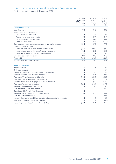### Interim condensed consolidated cash flow statement

For the six months ended 31 December 2017

|                                                                            | <b>Unaudited</b><br>6 months to<br>31 December<br>2017<br>£m | Unaudited<br>6 months to<br>31 December<br>2016<br><b>f</b> m | Audited<br>12 months to<br>30 June<br>2017<br>fm |
|----------------------------------------------------------------------------|--------------------------------------------------------------|---------------------------------------------------------------|--------------------------------------------------|
| <b>Operating activities</b>                                                |                                                              |                                                               |                                                  |
| Operating profit                                                           | 90.2                                                         | 94.6                                                          | 166.8                                            |
| Adjustments for non-cash items:                                            |                                                              |                                                               |                                                  |
| Depreciation and amortisation                                              | 2.6                                                          | 2.7                                                           | 5.5                                              |
| Accrual for variable compensation                                          | 13.9                                                         | 23.4                                                          | 24.4                                             |
| Unrealised foreign exchange gains                                          | 2.1                                                          | (8.1)                                                         | (8.7)                                            |
| Other non-cash items                                                       | (4.5)                                                        | (5.1)                                                         | (11.0)                                           |
| Cash generated from operations before working capital changes              | 104.3                                                        | 107.5                                                         | 177.0                                            |
| Changes in working capital:                                                |                                                              |                                                               |                                                  |
| Decrease/(increase) in trade and other receivables                         | (12.0)                                                       | (32.9)                                                        | (9.7)                                            |
| Increase/Idecrease) in derivative financial instruments                    | (0.6)                                                        | (0.7)                                                         | (4.8)                                            |
| Increase/(decrease) in trade and other payables                            | (19.0)                                                       | 22.7                                                          | 8.8                                              |
| Cash generated from operations                                             | 72.7                                                         | 96.6                                                          | 171.3                                            |
| Taxes paid                                                                 | (20.3)                                                       | (26.2)                                                        | (48.0)                                           |
| Net cash from operating activities                                         | 52.4                                                         | 70.4                                                          | 123.3                                            |
| <b>Investing activities</b>                                                |                                                              |                                                               |                                                  |
| Interest received                                                          | 4.9                                                          | 5.1                                                           | 8.8                                              |
| Dividends received                                                         | 0.1                                                          |                                                               | 0.4                                              |
| Proceeds on disposal of joint ventures and subsidiaries                    |                                                              | 4.8                                                           | 4.8                                              |
| Purchase of non-current asset investments                                  | (2.1)                                                        | (6.6)                                                         | (8.8)                                            |
| Purchase of financial assets held-for-sale                                 | (14.4)                                                       | (24.0)                                                        | (26.9)                                           |
| Purchase of available-for-sale financial assets                            | (0.1)                                                        | (1.6)                                                         |                                                  |
| Purchase of fair value through profit or loss investments                  |                                                              | (6.3)                                                         | (14.0)                                           |
| Purchase of investment securities                                          | (21.0)                                                       | (12.1)                                                        | (17.0)                                           |
| Sale of non-current asset investments                                      |                                                              | 0.5                                                           | 0.5                                              |
| Sale of financial assets held-for-sale                                     |                                                              | 11.3                                                          | 47.9                                             |
| Sale of available-for-sale financial assets                                | 0.3                                                          |                                                               |                                                  |
| Sale of fair value through profit or loss investments                      | 13.2                                                         | 41.5                                                          | 43.2                                             |
| Sale of investment securities                                              |                                                              | 11.3                                                          | 28.1                                             |
| Net cash flow arising on initial consolidation of seed capital investments | 1.0                                                          | 1.5                                                           | 8.1                                              |
| Purchase of property, plant and equipment                                  |                                                              |                                                               | (0.4)                                            |
| Net cash generated/(used) in investing activities                          | (18.1)                                                       | 25.4                                                          | 74.7                                             |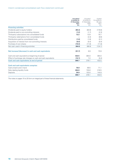|                                                              | <b>Unaudited</b><br>6 months to<br>31 December<br>2017 | Unaudited<br>6 months to<br>31 December<br>2016 | Audited<br>12 months to<br>30 June<br>2017 |
|--------------------------------------------------------------|--------------------------------------------------------|-------------------------------------------------|--------------------------------------------|
|                                                              | £m                                                     | <b>f</b> m                                      | $\mathsf{fm}$                              |
| <b>Financing activities</b>                                  |                                                        |                                                 |                                            |
| Dividends paid to equity holders                             | (85.3)                                                 | (84.9)                                          | (116.6)                                    |
| Dividends paid to non-controlling interests                  | (1.2)                                                  | (1.7)                                           | (2.3)                                      |
| Third-party subscriptions into consolidated funds            | 12.2                                                   | 13.9                                            | 18.7                                       |
| Third-party redemptions from consolidated funds              |                                                        | (2.4)                                           | (8.6)                                      |
| Distributions paid by consolidated funds                     | (1.0)                                                  | (1.6)                                           | (3.1)                                      |
| Acquisition of interest from non-controlling interests       | (0.4)                                                  | (0.4)                                           | (0.4)                                      |
| Purchase of own shares                                       | (10.3)                                                 | (11.8)                                          | (11.8)                                     |
| Net cash used in financing activities                        | (86.0)                                                 | (88.9)                                          | (124.1)                                    |
| Net increase/(decrease) in cash and cash equivalents         | (51.7)                                                 | 6.9                                             | 73.9                                       |
| Cash and cash equivalents at beginning of period             | 432.5                                                  | 364.0                                           | 364.0                                      |
| Effect of exchange rate changes on cash and cash equivalents | (12.1)                                                 | 7.2                                             | (5.4)                                      |
| Cash and cash equivalents at end of period                   | 368.7                                                  | 378.1                                           | 432.5                                      |
| <b>Cash and cash equivalents comprise:</b>                   |                                                        |                                                 |                                            |
| Cash at bank and in hand                                     | 76.9                                                   | 69.5                                            | 71.1                                       |
| Daily dealing liquidity funds                                | 264.9                                                  | 155.6                                           | 216.5                                      |
| Deposits                                                     | 26.9                                                   | 153.0                                           | 144.9                                      |
|                                                              | 368.7                                                  | 378.1                                           | 432.5                                      |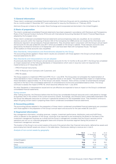#### **1) General information**

These interim condensed consolidated financial statements of Ashmore Group plc and its subsidiaries (the Group) for the six months ended 31 December 2017 were authorised for issue by the Directors on 7 February 2018.

Ashmore Group plc is listed on the London Stock Exchange and incorporated and domiciled in the United Kingdom.

#### **2) Basis of preparation**

The interim condensed consolidated financial statements have been prepared in accordance with Disclosure and Transparency Rules of the Financial Conduct Authority (FCA) and with International Accounting Standard 34 Interim Financial Reporting as adopted by the European Union.

These interim condensed consolidated financial statements and accompanying notes are unaudited, do not constitute statutory accounts within the meaning of Section 434 of the Companies Act 2006 and do not include all the information and disclosures required in annual statutory financial statements. They should be read in conjunction with the Group's annual report and accounts for the year ended 30 June 2017 which are available on the Group's website. Those statutory accounts were approved by the Board of Directors on 6 September 2017 and have been filed with Companies House. The report of the auditors on those accounts was unqualified.

#### New Standards, Interpretations and Amendments adopted by the Group

The accounting policies applied in these interim results are consistent with those applied in the Group's annual statutory financial statements for 2017.

#### New Standards and Interpretations not yet adopted

As previously described in the Group's annual statutory accounts for the 12 months to 30 June 2017, the Group has completed an impact assessment of the following Standards or Interpretations which were in issue but were not required to be implemented as at 31 December 2017:

- − IFRS 9 Financial Instruments;
- − IFRS 15 Revenue from Contracts with Customers; and
- − IFRS 16 Leases.

The Group expects to implement IFRS 9 and IFRS 15 on 1 July 2018. The Group does not anticipate the implementation of these Standards to have a material impact on its reported results or net assets. The estimated likely impact on implementing these Standards is approximately 1% of the Group's net assets. However, there will be a number of presentational changes required on the face of the consolidated statement of comprehensive income and consolidated balance sheet. The Group continues to assess the impact of IFRS 16, which becomes effective from 1 July 2019.

No other Standards or Interpretations issued and not yet effective are expected to have an impact on the Group's condensed consolidated financial statements.

#### Going concern

After making enquiries, the Directors believe that the Group has considerable financial resources and is well placed to manage its business risks in the context of the current economic outlook. Accordingly, the Directors have a reasonable expectation that the Group has adequate resources to continue in operational existence for the foreseeable future. They therefore continue to adopt the going concern basis in preparing these interim condensed consolidated financial statements.

#### **3) Accounting policies**

The accounting policies adopted in the preparation of these interim condensed consolidated financial statements are consistent with those applied in the preparation of the Group's annual report and accounts for the year ended 30 June 2017.

#### **4) Segmental information**

Key management information, including revenues, margins, investment performance, distribution costs and AuM flows, which is relevant to the operation of the Group, continues to be reported to and reviewed by the Board on the basis of the investment management business as a whole and the Group's management considers that the Group's services and its operations are not run on a discrete geographic basis and comprise one business segment (being the provision of investment management services).

The location of the Group's non-current assets at the end of the period other than financial instruments, deferred tax assets and post-employment benefit assets are shown in the table below. Disclosures relating to revenue are in note 5.

#### Analysis of non-current assets by geography

|                                 | As at       | As at       | As at           |
|---------------------------------|-------------|-------------|-----------------|
|                                 | 31 December | 31 December | 30 June<br>2017 |
|                                 | 2017        | 2016        |                 |
|                                 | £m          | £m          | $\mathsf{fm}$   |
| United Kingdom                  | 7.0         | 8.0         | 7.8             |
| <b>United States</b>            | 70.8        | 81.9        | 76.1            |
| Other                           | 0.5         | 0.4         | 0.5             |
| <b>Total non-current assets</b> | 78.3        | 90.3        | 84.4            |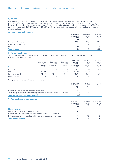#### **5) Revenue**

Management fees are accrued throughout the period in line with prevailing levels of assets under management and performance fees are recognised when they can be estimated reliably and it is probable that they will crystallise. The Group is not considered to be reliant on any single source of revenue. None of the Group's funds provided more than 10.0% of total revenue in the period (H1 2016/17: none; FY2015/17: none) when considering management fees and performance fees on a combined basis.

#### Analysis of revenue by geography

|                        | 6 months to<br>31 December<br>2017<br>£m | 6 months to<br>31 December<br>2016<br>£m | 12 months to<br>30 June<br>2017<br>£m |
|------------------------|------------------------------------------|------------------------------------------|---------------------------------------|
| United Kingdom revenue | 128.0                                    | 129.1                                    | 232.8                                 |
| United States revenue  | 3.7                                      | 4.3                                      | 8.7                                   |
| Other                  | 8.6                                      | 7.2                                      | 15.7                                  |
| <b>Total revenue</b>   | 140.3                                    | 140.6                                    | 257.2                                 |

#### **6) Foreign exchange**

The foreign exchange rates which had a material impact on the Group's results are the US dollar, the Euro, the Indonesian rupiah and the Colombian peso.

| £1                | <b>Closing rate</b><br>as at<br>31 December<br>2017 | Closing rate<br>as at<br>31 December<br>2016 | Closing rate<br>as at<br>30 June<br>2017 | Average rate<br>6 months<br>ended<br>31 December<br>2017 | Average rate<br>6 months<br>ended<br>31 December<br>2016 | Average rate<br>12 months<br>ended<br>30 June<br>2017 |
|-------------------|-----------------------------------------------------|----------------------------------------------|------------------------------------------|----------------------------------------------------------|----------------------------------------------------------|-------------------------------------------------------|
| US dollar         | 1.3513                                              | 1.2340                                       | 1.2946                                   | 1.3259                                                   | 1.2809                                                   | 1.2766                                                |
| Euro              | 1.1260                                              | 1.1731                                       | 1.1426                                   | 1.1258                                                   | 1.1689                                                   | 1.1671                                                |
| Indonesian rupiah | 18,311                                              | 16.535                                       | 17.340                                   | 17.776                                                   | 16.922                                                   | 16,918                                                |
| Colombian peso    | 4.035                                               | 3,706                                        | 3.965                                    | 3,973                                                    | 3.829                                                    | 3,788                                                 |

Foreign exchange gains and losses are shown below.

|                                                                                        | 6 months to<br>31 December | 6 months to<br>31 December | 12 months to<br>30 June |
|----------------------------------------------------------------------------------------|----------------------------|----------------------------|-------------------------|
|                                                                                        | 2017<br>£m                 | 2016<br>f <sub>m</sub>     | 2017<br>£m.             |
| Net realised and unrealised hedging gains/(losses)                                     | 0.3                        | (3.0)                      | (2.8)                   |
| Translation gains/(losses) on non-Sterling denominated monetary assets and liabilities | (2.3)                      | 8.4                        | 7.8                     |
| <b>Total foreign exchange gains/(losses)</b>                                           | (2.0)                      | 5.4                        | 5.0                     |

#### **7) Finance income and expense**

|                                                                         | 6 months to<br>31 December<br>2017<br>£m | 6 months to<br>31 December<br>2016<br>£m | 12 months to<br>30 June<br>2017<br>£m |
|-------------------------------------------------------------------------|------------------------------------------|------------------------------------------|---------------------------------------|
| <b>Finance income</b>                                                   |                                          |                                          |                                       |
| Interest and income in consolidated funds                               | 4.7                                      | 5.2                                      | 10.4                                  |
| Net realised gains on seed capital investments measured at fair value   |                                          | 7.9                                      | 20.8                                  |
| Net unrealised gains on seed capital investments measured at fair value | 4.4                                      | 13.0                                     | 7.4                                   |
| <b>Total finance income</b>                                             | 9.1                                      | 26.1                                     | 38.6                                  |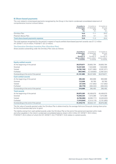#### **8) Share-based payments**

The cost related to share-based payments recognised by the Group in the interim condensed consolidated statement of comprehensive income is shown below:

|                                           | 6 months to<br>31 December<br>2017<br>£m | 6 months to<br>31 December<br>2016<br><b>f</b> m | 12 months to<br>30 June<br>2017<br>£m |
|-------------------------------------------|------------------------------------------|--------------------------------------------------|---------------------------------------|
| Omnibus Plan                              | 14.0                                     | 11.1                                             | 24.2                                  |
| Phantom Bonus Plan                        | (0.1)                                    | 0.1                                              | 0.2                                   |
| <b>Total share-based payments expense</b> | 13.9                                     | 11.2                                             | 24.4                                  |

The total expense recognised for the period in respect of equity-settled share-based payment awards was £11.2 million (H1 2016/17: £12.4 million; FY2016/17: £21.3 million).

#### The Executive Omnibus Incentive Plan (Omnibus Plan)

Share awards outstanding under the Omnibus Plan were as follows:

|                                      | 6 months to<br>31 December<br>2017<br>Number of | 6 months to<br>31 December | 12 months to<br>30 June |
|--------------------------------------|-------------------------------------------------|----------------------------|-------------------------|
|                                      |                                                 | 2016<br>Number of          | 2017<br>Number of       |
|                                      | shares subject                                  | shares subject             | shares subject          |
|                                      | to awards                                       | to awards                  | to awards               |
| <b>Equity-settled awards</b>         |                                                 |                            |                         |
| At the beginning of the period       | 38,579,871                                      | 39,805,764                 | 39,805,764              |
| Granted                              | 10,237,825                                      | 7,523,609                  | 7,523,609               |
| Vested                               | (6, 762, 746)                                   | (5,971,865)                | (6, 281, 971)           |
| Forfeited                            | (953,065)                                       | (2, 129, 853)              | (2,467,531)             |
| Outstanding at the end of the period | 41,101,885                                      | 39,227,655                 | 38,579,871              |
| <b>Cash-settled awards</b>           |                                                 |                            |                         |
| At the beginning of the period       | 295,492                                         | 650,906                    | 650,906                 |
| Granted                              | 112,509                                         | 50.760                     | 50,760                  |
| Vested                               | (27, 334)                                       | (121, 852)                 | (121, 852)              |
| Forfeited                            | (63, 779)                                       | (284, 322)                 | (284, 322)              |
| Outstanding at the end of the period | 316,888                                         | 295.492                    | 295,492                 |
| <b>Total awards</b>                  |                                                 |                            |                         |
| At the beginning of the period       | 38,875,363                                      | 40,456,670                 | 40,456,670              |
| Granted                              | 10,350,334                                      | 7,574,369                  | 7,574,369               |
| Vested                               | (6,790,080)                                     | (6,093,717)                | (6,403,823)             |
| Forfeited                            | (1,016,844)                                     | (2,414,175)                | (2,751,853)             |
| Outstanding at the end of the period | 41,418,773                                      | 39,523,147                 | 38,875,363              |

The fair value of awards granted under the Omnibus Plan is determined by the average Ashmore Group plc closing share price for the five business days prior to grant.

The liability arising from cash-settled awards under the Omnibus Plan at the end of the period and reported within trade and other payables in the interim condensed consolidated balance sheet is £0.4 million (H1 2016/17: £0.3 million; FY2016/17: £0.4 million) of which £nil (H1 2016/17: £nil; FY2016/17: £nil) relates to vested awards.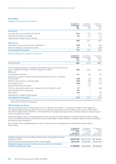#### **9) Taxation**

#### Analysis of tax charge for the period

|                                                   | 6 months to<br>31 December<br>2017<br>£m | 6 months to<br>31 December<br>2016<br>£m | 12 months to<br>30 June<br>2017<br>$\mathsf{fm}$ |
|---------------------------------------------------|------------------------------------------|------------------------------------------|--------------------------------------------------|
| <b>Current tax</b>                                |                                          |                                          |                                                  |
| UK corporation tax on profits for the period      | 14.3                                     | 17.4                                     | 31.3                                             |
| Overseas corporation tax charge                   | 4.6                                      | 4.7                                      | 7.9                                              |
| Adjustments in respect of prior periods           |                                          |                                          | 1.5                                              |
|                                                   | 18.9                                     | 22.1                                     | 40.7                                             |
| <b>Deferred tax</b>                               |                                          |                                          |                                                  |
| Origination and reversal of temporary differences | (3.2)                                    | 0.6                                      | (3.2)                                            |
| Effect of changes in corporation tax rates        | 2.1                                      |                                          | (0.8)                                            |
| Tax expense for the period                        | 17.8                                     | 22.7                                     | 36.7                                             |

#### Factors affecting tax charge for the period

|                                                                                                                                                 | 6 months to<br>31 December<br>2017<br>£m | 6 months to<br>31 December<br>2016<br><b>f</b> m | 12 months to<br>30 June<br>2017<br>$\mathsf{fm}$ |
|-------------------------------------------------------------------------------------------------------------------------------------------------|------------------------------------------|--------------------------------------------------|--------------------------------------------------|
| Profit before tax                                                                                                                               | 99.0                                     | 121.5                                            | 206.2                                            |
| Profit on ordinary activities multiplied by the blended UK tax rate for the financial<br>year of 19.00% (H1 2016/17: 19.75%; FY2016/17: 19.75%) | 18.8                                     | 24.0                                             | 40.7                                             |
| <b>Effects of:</b>                                                                                                                              |                                          |                                                  |                                                  |
| Non-deductible expenses                                                                                                                         | 0.1                                      | 0.9                                              | $0.2^{\circ}$                                    |
| Deduction in respect of vested shares/exercised options (Part 12, Corporation<br>Tax Act 2009)                                                  | (3.0)                                    | (1.0)                                            | (2.8)                                            |
| Different rate of taxes on overseas profits                                                                                                     | (0.5)                                    | (0.3)                                            | 1.4                                              |
| Non-taxable income                                                                                                                              | (0.5)                                    | (1.2)                                            | (4.1)                                            |
| Disallowed deferred tax assets                                                                                                                  |                                          | 0.3                                              |                                                  |
| Effect on deferred tax balance from changes in the US Federal tax rate*                                                                         | 2.1                                      |                                                  | (0.8)                                            |
| Non-deductible loss on associates                                                                                                               | 0.3                                      |                                                  |                                                  |
| Other items                                                                                                                                     | 0.5                                      |                                                  | 0.5                                              |
| Adjustments in respect of prior periods                                                                                                         |                                          |                                                  | 1.6                                              |
| Tax expense for the period                                                                                                                      | 17.8                                     | 22.7                                             | 36.7                                             |

The US Federal tax rate reduced to 21% with effect from 1 January 2018. This reduction has been taken into account in the calculation of current and deferred tax for the Group's US subsidiaries.

#### **10) Earnings per share**

Basic earnings per share at 31 December 2017 of 11.96 pence (H1 2016/17: 14.72 pence; FY2016/17: 25.07 pence) is calculated by dividing the profit after tax for the financial period attributable to equity holders of the parent of £80.2 million (H1 2016/17: £98.4 million; FY2016/17: £167.6 million) by the weighted average number of ordinary shares in issue during the period, excluding own shares.

Diluted earnings per share is calculated based on basic earnings per share adjusted for all dilutive potential ordinary shares. There is no difference between the profit for the year attributable to equity holders of the parent used in the basic and diluted earnings per share calculations.

Reconciliation of the weighted average number of shares used in calculating basic and diluted earnings per share is shown below.

|                                                                                                     | 6 months to<br>31 December<br>2017<br>Number of<br>ordinary shares | 6 months to<br>31 December<br>2016<br>Number of<br>ordinary shares | 12 months to<br>30 June<br>2017<br>Number of<br>ordinary shares |
|-----------------------------------------------------------------------------------------------------|--------------------------------------------------------------------|--------------------------------------------------------------------|-----------------------------------------------------------------|
| Weighted average number of ordinary shares used in the calculation of basic<br>earnings per share   | 670,651,535                                                        | 668,479,616                                                        | 668,488,046                                                     |
| Effect of dilutive potential ordinary shares – share awards                                         | 40.377.421                                                         | 38.020.304                                                         | 38.451.642                                                      |
| Weighted average number of ordinary shares used in the calculation<br>of diluted earnings per share | 711.028.956                                                        | 706.499.920                                                        | 706.939.688                                                     |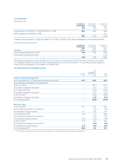#### **11) Dividends**

Dividends paid

|                                                          | 6 months to<br>31 December<br>2017<br>£m | 6 months to<br>31 December<br>2016<br>f <sub>m</sub> | 12 months to<br>30 June<br>2017<br>£m |
|----------------------------------------------------------|------------------------------------------|------------------------------------------------------|---------------------------------------|
| Final dividend for FY2016/17: 12.10p (FY2015/16: 12.10p) | 85.4                                     | 84.9                                                 | 84.9                                  |
| Interim dividend for FY2016/17: 4.55p                    | $\overline{\phantom{0}}$                 |                                                      | 31.7                                  |
|                                                          | 85.4                                     | 84.9                                                 | 116.6                                 |

In addition, the Group paid £1.2 million (H1 2016/17: £1.7 million; FY2016/17: £2.3 million) of dividends to non-controlling interests.

#### Dividends declared/proposed

| Company                             | 6 months to<br>31 December<br>2017<br>pence | 6 months to<br>31 December<br>2016<br>pence | 12 months to<br>30 June<br>2017<br>pence |
|-------------------------------------|---------------------------------------------|---------------------------------------------|------------------------------------------|
| Interim dividend declared per share | 4.55                                        | 4.55                                        | 4.55                                     |
| Final dividend proposed per share   | -                                           | -                                           | 12.10                                    |
|                                     | 4.55                                        | 4.55                                        | 16.65                                    |

The Board has approved an interim dividend for the six months to 31 December 2017 of 4.55 pence per share (six months to 31 December 2016: 4.55 pence per share; final dividend for the year to 30 June 2017: 12.10 pence per share) payable on 4 April 2018 to shareholders on the register on 9 March 2018.

#### **12) Goodwill and intangible assets**

|                                                        |                | Fund                        |               |
|--------------------------------------------------------|----------------|-----------------------------|---------------|
|                                                        | Goodwill       | management<br>relationships | Total         |
|                                                        | f <sub>m</sub> | f <sub>m</sub>              | $\mathsf{fm}$ |
| <b>Cost (at original exchange rate)</b>                |                |                             |               |
| At 31 December 2017, 31 December 2016 and 30 June 2017 | 57.5           | 39.5                        | 97.0          |
| <b>Accumulated amortisation and impairment</b>         |                |                             |               |
| At 30 June 2016                                        |                | (31.1)                      | (31.1)        |
| Amortisation charge for the period                     |                | (2.2)                       | (2.2)         |
| At 31 December 2016                                    |                | (33.3)                      | (33.3)        |
| Amortisation charge for the period                     | -              | (2.3)                       | (2.3)         |
| At 30 June 2017                                        |                | (35.6)                      | (35.6)        |
| Amortisation charge for the period                     |                | (2.2)                       | (2.2)         |
| At 31 December 2017                                    |                | (37.8)                      | (37.8)        |
| <b>Net book value</b>                                  |                |                             |               |
| At 30 June 2016                                        | 70.1           | 12.4                        | 82.5          |
| Accumulated amortisation for the period                |                | (2.2)                       | (2.2)         |
| FX revaluation through reserves <sup>*</sup>           | 4.7            | 0.8                         | 5.5           |
| At 31 December 2016                                    | 74.8           | 11.0                        | 85.8          |
| Accumulated amortisation for the period                |                | (2.3)                       | (2.3)         |
| FX revaluation through reserves*                       | (3.2)          | (0.4)                       | (3.6)         |
| At 30 June 2017                                        | 71.6           | 8.3                         | 79.9          |
| Accumulated amortisation for the period                |                | (2.2)                       | (2.2)         |
| FX revaluation through reserves*                       | (2.7)          | (0.3)                       | (3.0)         |
| At 31 December 2017                                    | 68.9           | 5.8                         | 74.7          |

\* FX revaluation through reserves is a result of the retranslation of US dollar-denominated intangibles and goodwill.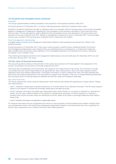#### **12) Goodwill and intangible assets continued**

#### Goodwill

The Group's goodwill balance relates principally to the acquisition of the equities business in May 2011.

During the period to 31 December 2017, no factors indicating potential impairment of goodwill were noted.

Goodwill is tested for impairment annually or whenever there is an indication that the carrying amount may not be recoverable based on management's judgements regarding the future prospects of the business, estimates of future cash flows and discount rates. The key assumptions used to determine the recoverable amount were disclosed in the annual report and accounts for the year ended 30 June 2017. Based on management's assessment as at 31 December 2017, the recoverable amount was in excess of the carrying value of goodwill and no impairment was implied.

#### Fund management relationships

Intangible assets comprise fund management relationships related to profit expected to be earned from clients of the equities business.

During the period to 31 December 2017, there was a review process to identify factors indicating whether the Group's fund management relationships were impaired. None was identified and as a consequence, no impairment charge has been included within the Group's other expenses in the consolidated statement of comprehensive income in the period (H1 2016/17: £nil; FY2016/17: £nil).

The remaining amortisation period for fund management relationships is one and a half years (31 December 2016: two and a half years; 30 June 2017: two years).

#### **13) Fair value of financial instruments**

The accounting policies relating to the estimation of fair values are consistent with those applied in the preparation of the Group's annual report and accounts for the year ended 30 June 2017.

The Group has an established control framework with respect to the measurement of fair values. This framework includes committees that have overall responsibility for all significant fair value measurements. Each committee regularly reviews significant inputs and valuation adjustments. If third-party information is used to measure fair value, the team assesses and documents the evidence obtained from the third parties to support such valuations. There are no material differences between the carrying amounts of financial assets and liabilities and their fair values at the balance sheet date.

#### Fair value hierarchy

The Group measures fair values using the following fair value hierarchy that reflects the significance of inputs used in making the measurements:

- − Level 1: Valuation is based upon a quoted market price in an active market for an identical instrument. This fair value measure relates to the valuation of quoted and exchange traded equity and debt securities.
- − Level 2: Valuation techniques are based upon observable inputs, either directly (i.e. as prices) or indirectly (i.e. derived from prices). This fair value measure relates to the valuation of quoted equity securities in inactive markets or in interests in unlisted funds whose net asset values are referenced to the fair values of the listed or exchange traded securities held by those funds.
- − Level 3: Valuation techniques use significant unobservable inputs.

For financial instruments that are recognised at fair value on a recurring basis, the Group determines whether transfers have occurred between levels in the hierarchy by reassessing categorisation (based on the lowest level input that is significant to the fair value measurement as a whole) at the end of each reporting period.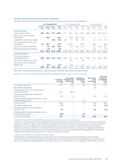#### **13) Fair value of financial instruments continued**

The fair value hierarchy of financial instruments which are carried at fair value is summarised below:

|                                                    | At 31 December 2017 |                       | At 31 December 2016 |                    |              | At 30 June 2017 |               |             |               |               |                 |                        |
|----------------------------------------------------|---------------------|-----------------------|---------------------|--------------------|--------------|-----------------|---------------|-------------|---------------|---------------|-----------------|------------------------|
|                                                    | Level 1<br>£m       | Level 2 Level 3<br>£m | £m                  | <b>Total</b><br>£m | evel 1<br>£m | Level 2<br>£m   | Level 3<br>£m | Total<br>£m | Level 1<br>£m | Level 2<br>£m | Level $3$<br>£m | Total<br>$\mathsf{fm}$ |
| <b>Financial assets</b>                            |                     |                       |                     |                    |              |                 |               |             |               |               |                 |                        |
| Investment securities                              | 79.5                | 83.3                  | 87.7                | 250.5              | 51.1         | 76.1            | 51.0          | 178.2       | 60.8          | 85.5          | 84.9            | 231.2                  |
| Non-current financial assets<br>held-for-sale      |                     | 24.5                  |                     | 24.5               |              | 23.6            | 29.4          | 53.0        |               | 7.1           |                 | 7.1                    |
| Available-for-sale financial assets                |                     |                       | 13.6                | 13.6               | 0.5          | 0.1             | 8.4           | 9.0         |               | 0.1           | 11.2            | 11.3                   |
| Fair value through profit or loss<br>investments   | 8.1                 | 16.4                  | -                   | 24.5               | -            | 63.5            |               | 63.5        | -             | 36.0          |                 | 36.0                   |
| Non-current asset investments                      | -                   | 4.4                   | 20.5                | 24.9               |              | 4.6             | 16.5          | 21.1        | -             | 4.5           | 18.0            | 22.5                   |
| Derivative financial instruments                   |                     | 0.9                   | -                   | 0.9                |              |                 |               |             |               | 0.3           |                 | 0.3                    |
|                                                    | 87.6                | 129.5                 | 121.8               | 338.9              | 51.6         | 167.9           | 105.3         | 324.8       | 60.8          | 133.5         | 114.1           | 308.4                  |
| <b>Financial liabilities</b>                       |                     |                       |                     |                    |              |                 |               |             |               |               |                 |                        |
| Third-party interests in<br>consolidated funds     | 36.8                | 43.8                  | 32.8                | 113.4              | 29.6         | 40.1            | 31.7          | 101.4       | 30.9          | 42.4          | 35.6            | 108.9                  |
| Derivative financial instruments                   |                     |                       |                     |                    |              | 3.8             |               | 3.8         |               |               |                 |                        |
| Non-current financial liabilities<br>held-for-sale |                     | 9.3                   | -                   | 9.3                |              | 0.3             |               | 0.3         |               |               |                 |                        |
|                                                    | 36.8                | 53.1                  | 32.8                | 122.7              | 29.6         | 44.2            | 31.7          | 105.5       | 30.9          | 42.4          | 35.6            | 108.9                  |

There were no transfers between Level 1, Level 2 and Level 3 of the fair value hierarchy during the period.

Changes in Level 3 financial assets and liabilities recognised at fair value on a recurring basis

|                                                                       | securities<br>£m | <b>Non-current</b><br>Investment financial assets<br>held-for-sale<br>£m | Available-for-<br>sale financial<br>assets<br>£m | <b>Non-current</b><br>asset<br>investments<br>£m | Third-party<br>interests in<br>consolidated<br>funds<br>£m |
|-----------------------------------------------------------------------|------------------|--------------------------------------------------------------------------|--------------------------------------------------|--------------------------------------------------|------------------------------------------------------------|
| At 31 December 2016                                                   | 51.0             | 29.4                                                                     | 8.4                                              | 16.5                                             | 31.7                                                       |
| Net additions/(disposals)                                             |                  |                                                                          |                                                  | 1.9                                              |                                                            |
| Reclassification from HFS investments to<br>consolidated funds        | 28.1             | (28.1)                                                                   |                                                  |                                                  |                                                            |
| Unrealised gains/(losses) recognised in<br>finance income             | 5.8              | (1.3)                                                                    |                                                  | (0.4)                                            | 3.9                                                        |
| Unrealised gains/(losses) recognised in other<br>comprehensive income |                  |                                                                          | 2.8                                              |                                                  |                                                            |
| At 30 June 2017                                                       | 84.9             |                                                                          | 11.2                                             | 18.0                                             | 35.6                                                       |
| Net additions/(disposals)                                             | 3.4              |                                                                          |                                                  | 2.1                                              | (1.5)                                                      |
| Unrealised gains/(losses) recognised in<br>finance income             | 1.9              |                                                                          |                                                  | 0.4                                              | (1.3)                                                      |
| Unrealised gains/(losses) recognised in other<br>comprehensive income | (2.5)            |                                                                          | 2.4                                              |                                                  |                                                            |
| At 31 December 2017                                                   | 87.7             |                                                                          | 13.6                                             | 20.5                                             | 32.8                                                       |

#### Valuation of Level 3 financial liabilities recognised at fair value on a recurring basis

Investments valued using valuation techniques include financial investments which, by their nature, do not have an externally quoted price based on regular trades, and financial investments for which markets are no longer active as a result of market conditions e.g. market illiquidity. The valuation techniques used include comparison to recent arm's length transactions, reference to other instruments that are substantially the same, discounted cash flow analysis, and, if applicable, enterprise valuation. The valuation techniques used in the estimation of fair values are consistent with those applied in the preparation of the Group's annual report and accounts for the year ended 30 June 2017.

#### Financial instruments not measured at fair value

Financial assets and liabilities that are not measured at fair value include cash and cash equivalents, trade and other receivables, and trade and other payables. The carrying value of financial assets and financial liabilities not measured at fair value is considered a reasonable approximation of fair value as at 31 December 2017, 31 December 2016 and 30 June 2017.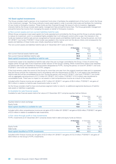#### **14) Seed capital investments**

The Group considers itself a sponsor of an investment fund when it facilitates the establishment of the fund in which the Group is the investment manager. The Group ordinarily invests seed capital in order to provide initial scale and facilitate the marketing of new funds to third-party investors. These funds are then financed through the issue of units to investors. Aggregate interests held by the Group include seed capital, management fees and performance fees. The Group generates management and performance fee income from managing the assets on behalf of third-party investors.

#### a) Non-current assets and non-current liabilities held-for-sale

Where Group companies invest seed capital into funds operated and controlled by the Group and the Group is actively seeking to reduce its investment, and it is considered highly probable that it will relinquish control within a year, the interests in the funds are treated as held-for-sale and are recognised as financial assets and liabilities held-for-sale. During the period, one fund (H1 2016/17: two funds; FY2016/17: three funds) was seeded in this manner and met the above criteria, and consequently the assets and liabilities of these funds were initially classified as held-for-sale.

The non-current assets and liabilities held-for-sale at 31 December 2017 were as follows:

|                                                      | 31 December<br>2017<br>£m | 31 December<br>2016<br>£m | 30 June<br>2017<br>£m. |
|------------------------------------------------------|---------------------------|---------------------------|------------------------|
| Non-current financial assets held-for-sale           | 24.5                      | 53.0                      |                        |
| Non-current financial liabilities held-for-sale      | (9.3)                     | (0.3)                     |                        |
| Seed capital investments classified as held-for-sale | 15.2                      | 52.7                      |                        |

Investments cease to be classified as held-for-sale when they are no longer controlled by the Group. A loss of control may happen either through sale of the investment and/or dilution of the Group's holding. When investments cease to be classified as held-for-sale they are classified as financial assets designated as FVTPL. During the period, no fund (H1 2016/17: one fund; FY2016/17: one fund) was transferred to FVTPL category.

If the fund remains under the control of the Group for more than one year from the original investment date and it is assessed that the Group controls the investment fund in accordance with the requirements of IFRS 10, it will cease to be classified as held-for-sale and will be consolidated line by line. During the period, one fund (H1 2016/17: one fund; FY2016/17: two funds) with an aggregate carrying amount of £7.2 million (H1 2016/17: £4.3 million; FY2016/17: £12.5 million) was transferred to consolidated funds. There was no impact on net assets or total comprehensive income as a result of the transfer.

Included within finance income are net gains of £0.7 million (H1 2016/17: net gains of £6.4 million; FY2016/17: net gains of £9.3 million) in relation to held-for-sale investments (refer to note 7).

As the Group considers itself to have one business segment (refer to note 4), no additional segmental disclosure of held-forsale assets or liabilities is applicable.

#### b) Available-for-sale financial assets

Available-for-sale financial assets held at fair value at 31 December 2017 comprise equities held as follows:

|                                               | 31 December<br>2017<br>£m | 31 December<br>2016<br>f <sub>m</sub> | 30 June<br>2017<br>£m. |
|-----------------------------------------------|---------------------------|---------------------------------------|------------------------|
| Equities listed on stock exchange             |                           | 0.5                                   |                        |
| Equity funds                                  | 13.6                      | 8.5                                   | 11.3                   |
| Seed capital classified as available-for-sale | 13.6                      | 9.0                                   | 11.3                   |

Included within other comprehensive income are net gains of £2.4 million (H1 2016/17: net gains of £0.6 million; FY2016/17: net gains of £2.5 million) in relation to available-for-sale investments.

#### c) Fair value through profit or loss investments

FVTPL investments at 31 December 2017 comprise shares held in debt and equity funds as follows:

|                                                     | 31 December<br>2017<br>£m | 31 December<br>2016<br>f <sub>m</sub> | 30 June<br>2017<br>£m |
|-----------------------------------------------------|---------------------------|---------------------------------------|-----------------------|
| Equity funds                                        | 23.5                      | 20.3                                  | 30.2                  |
| Debt funds                                          | 1.0                       | 43.2                                  | 5.8                   |
| Seed capital classified as <b>FVTPL</b> investments | 24.5                      | 63.5                                  | 36.0                  |

Included within finance income are net gains of £2.0 million (H1 2016/17: net gains of £12.3 million; FY2016/17: net gains of £9.6 million) on the Group's FVTPL investments.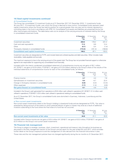#### **14) Seed capital investments continued**

#### d) Consolidated funds

The Group has consolidated 12 investment funds as at 31 December 2017 (31 December 2016: 11 investments funds; 30 June 2017: 13 investment funds), over which the Group is deemed to have control. Consolidated funds represent seed capital investments where the Group has held its position for a period greater than one year and its interest represents a controlling stake in the fund in accordance with IFRS 10. Consolidated fund assets and liabilities are presented line by line after intercompany eliminations. The table below sets out an analysis of the carrying amounts of interests held by the Group in consolidated investment funds.

|                                              | 31 December<br>2017<br>£m | 31 December<br>2016<br>£m | 30 June<br>2017<br>£m |
|----------------------------------------------|---------------------------|---------------------------|-----------------------|
| Investment securities                        | 250.5                     | 178.2                     | 231.2                 |
| Cash and cash equivalents                    | 11.2                      | 9.9                       | 12.4                  |
| Other                                        | (0.1)                     | 0.4                       | (1.4)                 |
| Third-party interests in consolidated funds  | (113.4)                   | (101.4)                   | (108.9)               |
| <b>Consolidated seed capital investments</b> | 148.2                     | 87.1                      | 133.3                 |

Investment securities are designated as FVTPL and include listed and unlisted equities and debt securities. Other includes trade receivables, trade payables and accruals.

The maximum exposure to loss is the carrying amount of the assets held. The Group has not provided financial support or otherwise agreed to be responsible for supporting any consolidated fund financially.

Included within the interim condensed consolidated statement of comprehensive income are net gains of £6.1 million (H1 2016/17: net gains of £4.9 million; FY2016/17: net gains of £12.8 million) relating to the Group's share of the results of the individual statements of comprehensive income for each of the consolidated funds, as follows:

|                                                       | 31 December<br>2017<br>£m | 31 December<br>2016<br><b>f</b> m | 30 June<br>2017<br>£m |
|-------------------------------------------------------|---------------------------|-----------------------------------|-----------------------|
| Finance income                                        | 2.7                       | 4.0                               | 7.8                   |
| Gains/(losses) on investment securities               | 9.4                       | 6.7                               | 22.4                  |
| Change in third-party interests in consolidated funds | (4.9)                     | (4.4)                             | (12.5)                |
| Other expenses                                        | (1.1)                     | (1.4)                             | (4.9)                 |
| Net gains/(losses) on consolidated funds              | 6.1                       | 4.9                               | 12.8                  |

Included in the Group's cash generated from operations is £0.8 million cash utilised in operations (H1 2016/17: £1.4 million cash utilised in operations; FY2016/17: £3.5 million cash utilised in operations) relating to consolidated funds.

As at 31 December 2017, the Group's consolidated funds were domiciled in Guernsey, Indonesia, Luxembourg and the United States.

#### e) Non-current asset investments

Non-current asset investments relate to the Group's holding in closed-end funds and are designated as FVTPL. Fair value is assessed by taking account of the extent to which potential dilution of gains or losses may arise as a result of additional investors subscribing to the fund where the final close of a fund has not occurred.

|                                             | 31 December | 31 December | 30 June |
|---------------------------------------------|-------------|-------------|---------|
|                                             | 2017        | 2016        | 2017    |
|                                             | £m          | £m          | £m      |
| Non-current asset investments at fair value | 24.9        |             | つつ に    |

Included within finance income are net gains of £0.4 million (H1 2016/17: net gains of £3.3 million; FY2016/17: net gains of £2.5 million) on the Group's non-current asset investments.

#### **15) Financial risk management**

The Group is subject to strategic, business, client, investment, operational and treasury risks throughout its business as discussed in the Risk management section of the Group's annual report for the year ended 30 June 2017, which provides further detail on the Group's exposure to and the management of risks derived from the financial instruments it uses.

Those risks and the risk management policies have not changed significantly during the six months to 31 December 2017.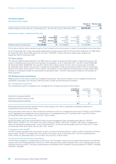#### **16) Share capital**

#### Authorised share capital

|                                                                                      |                                                     |                                                               |                                                     |                                                        | Number of<br>shares                             | <b>Nominal value</b><br>£'000                      |
|--------------------------------------------------------------------------------------|-----------------------------------------------------|---------------------------------------------------------------|-----------------------------------------------------|--------------------------------------------------------|-------------------------------------------------|----------------------------------------------------|
| Ordinary shares of 0.01p each at 31 December 2017, 30 June 2017 and 31 December 2016 |                                                     |                                                               |                                                     |                                                        | 900,000,000                                     | 90                                                 |
| Issued share capital – allotted and fully paid                                       | As at<br>31 December<br>2017<br>Number of<br>shares | As at<br>31 December<br>2017<br><b>Nominal value</b><br>£'000 | As at<br>31 December<br>2016<br>Number of<br>shares | As at<br>31 December<br>2016<br>Nominal value<br>f'000 | As at<br>30 June<br>2017<br>Number of<br>shares | As at<br>30 June<br>2017<br>Nominal value<br>f'000 |
| Ordinary shares of 0.01p each                                                        | 712,740,804                                         | 71                                                            | 712.740.804                                         |                                                        | 712.740.804                                     |                                                    |

All the above ordinary shares represent equity of the Company and rank pari passu in respect of participation and voting rights.

As at 31 December 2017, there were equity-settled share awards issued under the Omnibus Plan totalling 41,101,885 shares (31 December 2016: 39,227,655 shares; 30 June 2017: 38,579,871 shares) that have release dates ranging from September 2018 to December 2022.

#### **17) Own shares**

The Ashmore 2004 Employee Benefit Trust (EBT) acts as an agent to acquire and hold shares in Ashmore Group plc with a view to facilitating the recruitment and motivation of employees. As at 31 December 2017, the EBT owned 34,953,460 (31 December 2016: 39,009,575; 30 June 2017: 38,701,321) ordinary shares of 0.01p with a nominal value of £3,495 (31 December 2016: £3,901; 30 June 2017: £3,870) and shareholders' funds are reduced by £105.5 million (31 December 2016: £116.3 million; 30 June 2017: £115.4 million) in this respect. It is the intention of the Directors to make these shares available to employees through the share-based compensation plans. The EBT is periodically funded by the Company for these purposes.

#### **18) Related party transactions**

Related parties of the Group include key management personnel, close family members of key management personnel, subsidiaries, associates, joint ventures, Ashmore funds, the EBT and the Ashmore Foundation.

#### Key management personnel

The compensation paid to or payable to key management for employee services is shown below:

|                                    | 6 months to<br>31 December<br>2017<br>£m | 6 months to<br>31 December<br>2016<br>$\mathsf{fm}$ | 12 months to<br>30 June<br>2017<br>£m |
|------------------------------------|------------------------------------------|-----------------------------------------------------|---------------------------------------|
| Short-term employee benefits       | 0.1                                      | 0.1                                                 | 1.4                                   |
| Defined contribution pension costs |                                          |                                                     |                                       |
| Share-based payment benefits       |                                          |                                                     | 4.8                                   |
|                                    |                                          | 0.1                                                 | 6.2                                   |

Share-based payment benefits represent the fair value charge to the interim condensed consolidated statement of comprehensive income of share awards.

During the period, there were no other transactions entered into with key management personnel (H1 2016/17 and FY2016/17: none). Aggregate key management personnel interests in consolidated funds at 31 December 2017 were £37.9 million (31 December 2016: £37.9 million; 30 June 2017: £42.4 million).

#### Transactions with Ashmore funds

During the period, the Group received £62.8 million of gross management fees and performance fees (H1 2016/17: £58.3 million; FY2016/17: £111.6 million) from the 87 funds (H1 2016/17: 85 funds; FY2016/17: 86 funds) it manages and which are classified as related parties. As at 31 December 2017, the Group had receivables due from funds of £5.1 million (31 December 2016: £5.6 million; 30 June 2017: £5.1 million).

#### Transactions with the EBT

The EBT has been provided with a loan facility to allow it to acquire Ashmore shares in order to satisfy outstanding unvested share awards. The EBT is included within the results of the Group. As at 31 December 2017, the loan outstanding was £104.3 million (31 December 2016: £114.0 million; 30 June 2017: £103.5 million).

#### Transactions with the Ashmore Foundation

The Ashmore Foundation is a related party to the Group. The Foundation was set up to provide financial grants to worthwhile causes within the Emerging Markets countries in which Ashmore invests and/or operates with a view to giving back into the countries and communities. The Group made donations of £20,000 to the Foundation during the period (H1 2016/17: £40,000; FY2016/17: £50,000).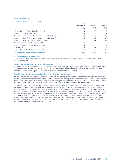#### **19) Commitments**

#### Undrawn investment commitments

|                                                           | As at<br>31 December<br>2017<br>£m | As at<br>31 December<br>2016<br><b>f</b> m | As at<br>30 June<br>2017<br>£m |
|-----------------------------------------------------------|------------------------------------|--------------------------------------------|--------------------------------|
| AA Development Capital India Fund 1 LLC                   | 1.1                                | 1.3                                        | 1.2                            |
| Ashmore Andean Fund II. LP                                | 1.9                                | 1.7                                        | 1.8                            |
| Ashmore Emerging Markets Corporate Private Debt Fund      | 0.3                                | 0.5                                        | 0.3                            |
| Ashmore I – CAF Colombian Infrastructure Senior Debt Fund | 13.8                               | 16.1                                       | 15.0                           |
| Ashmore I – FCP Colombia Infrastructure Fund              |                                    | 0.3                                        | 0.1                            |
| Ashmore Special Opportunities Fund LP                     | 10.5                               | 1.7                                        | 1.6                            |
| Everbright Ashmore China Real Estate Fund                 | 1.4                                | 1.5                                        | 1.4                            |
| <b>KCH Healthcare LLC</b>                                 | 3.2                                | 5.3                                        | 4.5                            |
| VTBC-Ashmore Real Estate Partners I, LP                   | 3.6                                | 3.5                                        | 3.5                            |
| <b>Total undrawn investment commitments</b>               | 35.8                               | 31.9                                       | 29.4                           |

#### **20) Post-balance sheet events**

There are no post-balance sheet events that require adjustment or disclosure in these interim condensed consolidated financial statements.

#### **21) Accounting estimates and judgements**

In preparing these interim condensed consolidated financial statements, the significant judgements made by management in applying the Group's accounting policies and the key sources of estimation uncertainty were substantially the same as those that applied to the annual report and accounts as at and for the year ended 30 June 2017.

#### **Cautionary statement regarding forward looking statements**

It is possible that this document could or may contain forward looking statements that are based on current expectations or beliefs, as well as assumptions about future events. These forward looking statements can be identified by the fact that they do not relate only to historical or current facts. Forward looking statements often use words such as anticipate, target, expect, estimate, intend, plan, goal, believe, will, may, should, would, could or other words of similar meaning.

Undue reliance should not be placed on any such statements because, by their very nature, they are subject to known and unknown risks and uncertainties and can be affected by other factors that could cause actual results, and the Group's plans and objectives, to differ materially from those expressed or implied in the forward looking statements. There are several factors that could cause actual results to differ materially from those expressed or implied in forward looking statements. Among the factors that could cause actual results to differ materially from those described in the forward looking statements are changes in the global, political, economic, business, competitive, market and regulatory forces, future exchange and interest rates, changes in tax rates and future business combinations or dispositions. The Group undertakes no obligation to revise or update any forward looking statement contained within this document, regardless of whether those statements are affected as a result of new information, future events or otherwise.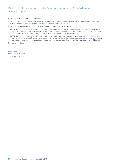# Responsibility statement of the Directors in respect of the half-yearly financial report

We confirm that to the best of our knowledge:

- − the interim condensed consolidated financial statements have been prepared in accordance with International Accounting Standard 34 Interim Financial Reporting as adopted by the European Union; and
- − the interim management report includes a fair review of the information required by:
	- (a) DTR 4.2.7R of the Disclosure and Transparency Rules, being an indication of important events that have occurred during the first six months of the financial year and their impact on the condensed set of financial statements, and a description of the principal risks and uncertainties for the remaining six months of the financial year; and
	- (b) DTR 4.2.8R of the Disclosure and Transparency Rules, being related party transactions that have taken place in the first six months of the current financial year and that have materially affected the financial position or performance of the entity during that period and any changes in the related party transactions described in the last annual report that could do so.

By order of the Board

**Mark Coombs**  Chief Executive Officer 7 February 2018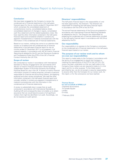#### **Conclusion**

We have been engaged by the Company to review the condensed set of financial statements in the half-yearly financial report for the six months ended 31 December 2017 which comprises the consolidated statement of comprehensive income, consolidated balance sheet, consolidated statement of changes in equity, consolidated cash flow statement and the related explanatory notes. We have read the other information contained in the half-yearly financial report and considered whether it contains any apparent misstatements or material inconsistencies with the information in the condensed set of financial statements.

Based on our review, nothing has come to our attention that causes us to believe that the condensed set of financial statements in the half-yearly financial report for the six months ended 31 December 2017 is not prepared, in all material respects, in accordance with IAS 34 *Interim Financial Reporting* as adopted by the EU and the Disclosure Guidance and Transparency Rules (the DTR) of the UK's Financial Conduct Authority (the UK FCA).

#### **Scope of review**

We conducted our review in accordance with International Standard on Review Engagements (UK and Ireland) 2410 *Review of Interim Financial Information Performed by the Independent Auditor of the Entity* issued by the Auditing Practices Board for use in the UK. A review of interim financial information consists of making enquiries, primarily of persons responsible for financial and accounting matters, and applying analytical and other review procedures. We read the other information contained in the half-yearly financial report and consider whether it contains any apparent misstatements or material inconsistencies with the information in the condensed set of financial statements.

A review is substantially less in scope than an audit conducted in accordance with International Standards on Auditing (UK) and consequently does not enable us to obtain assurance that we would become aware of all significant matters that might be identified in an audit. Accordingly, we do not express an audit opinion.

#### **Directors' responsibilities**

The half-yearly financial report is the responsibility of, and has been approved by, the Directors. The Directors are responsible for preparing the half-yearly financial report in accordance with the DTR of the UK FCA.

The annual financial statements of the Group are prepared in accordance with International Financial Reporting Standards as adopted by the EU. The Directors are responsible for preparing the condensed set of financial statements included in the half-yearly financial report in accordance with IAS 34 as adopted by the EU.

#### **Our responsibility**

Our responsibility is to express to the Company a conclusion on the condensed set of financial statements in the half-yearly financial report based on our review.

#### **The purpose of our review work and to whom we owe our responsibilities**

This report is made solely to the Company in accordance with the terms of our engagement to assist the Company in meeting the requirements of the DTR of the UK FCA. Our review has been undertaken so that we might state to the Company those matters we are required to state to it in this report and for no other purpose. To the fullest extent permitted by law, we do not accept or assume responsibility to anyone other than the Company for our review work, for this report, or for the conclusions we have reached.

**Thomas Brown for and on behalf of KPMG LLP**  *Chartered Accountants* 15 Canada Square London E14 5GL

7 February 2018